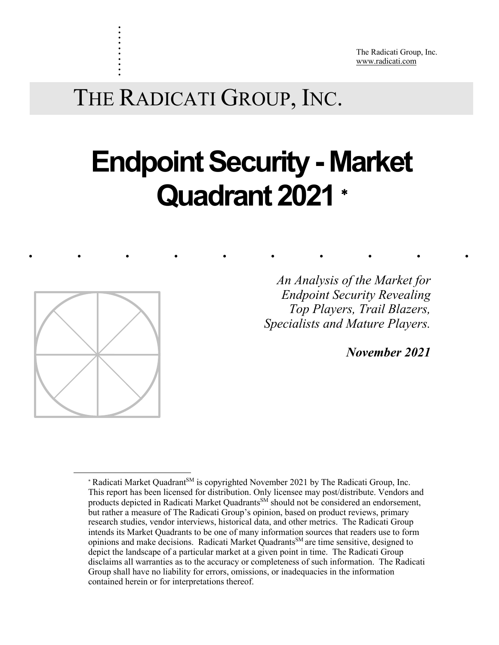The Radicati Group, Inc. www.radicati.com

THE RADICATI GROUP, INC.

# **Endpoint Security - Market Quadrant 2021** \*

......... .



<u>.</u>

. . . . . . . . . .

> *Top Players, Trail Blazers, An Analysis of the Market for Endpoint Security Revealing Specialists and Mature Players.*

> > *November 2021*

<sup>\*</sup> Radicati Market Quadrant<sup>SM</sup> is copyrighted November 2021 by The Radicati Group, Inc. This report has been licensed for distribution. Only licensee may post/distribute. Vendors and products depicted in Radicati Market Quadrants<sup>SM</sup> should not be considered an endorsement, but rather a measure of The Radicati Group's opinion, based on product reviews, primary research studies, vendor interviews, historical data, and other metrics. The Radicati Group intends its Market Quadrants to be one of many information sources that readers use to form opinions and make decisions. Radicati Market Quadrants<sup>SM</sup> are time sensitive, designed to depict the landscape of a particular market at a given point in time. The Radicati Group disclaims all warranties as to the accuracy or completeness of such information. The Radicati Group shall have no liability for errors, omissions, or inadequacies in the information contained herein or for interpretations thereof.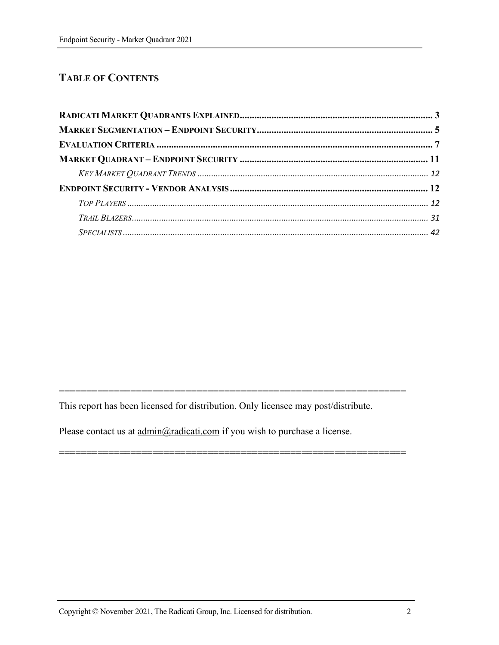# **TABLE OF CONTENTS**

This report has been licensed for distribution. Only licensee may post/distribute.

===============================================================

===============================================================

Please contact us at  $\underline{\text{admin}}(Q)\underline{\text{radic}}$  at if you wish to purchase a license.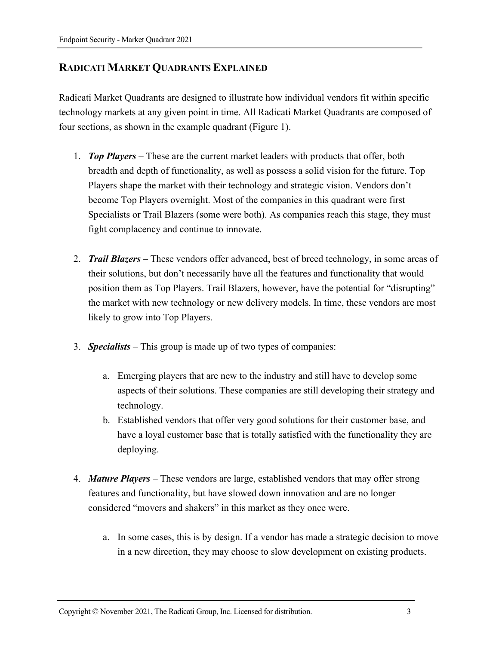# **RADICATI MARKET QUADRANTS EXPLAINED**

Radicati Market Quadrants are designed to illustrate how individual vendors fit within specific technology markets at any given point in time. All Radicati Market Quadrants are composed of four sections, as shown in the example quadrant (Figure 1).

- 1. *Top Players* These are the current market leaders with products that offer, both breadth and depth of functionality, as well as possess a solid vision for the future. Top Players shape the market with their technology and strategic vision. Vendors don't become Top Players overnight. Most of the companies in this quadrant were first Specialists or Trail Blazers (some were both). As companies reach this stage, they must fight complacency and continue to innovate.
- 2. *Trail Blazers* These vendors offer advanced, best of breed technology, in some areas of their solutions, but don't necessarily have all the features and functionality that would position them as Top Players. Trail Blazers, however, have the potential for "disrupting" the market with new technology or new delivery models. In time, these vendors are most likely to grow into Top Players.
- 3. *Specialists* This group is made up of two types of companies:
	- a. Emerging players that are new to the industry and still have to develop some aspects of their solutions. These companies are still developing their strategy and technology.
	- b. Established vendors that offer very good solutions for their customer base, and have a loyal customer base that is totally satisfied with the functionality they are deploying.
- 4. *Mature Players*  These vendors are large, established vendors that may offer strong features and functionality, but have slowed down innovation and are no longer considered "movers and shakers" in this market as they once were.
	- a. In some cases, this is by design. If a vendor has made a strategic decision to move in a new direction, they may choose to slow development on existing products.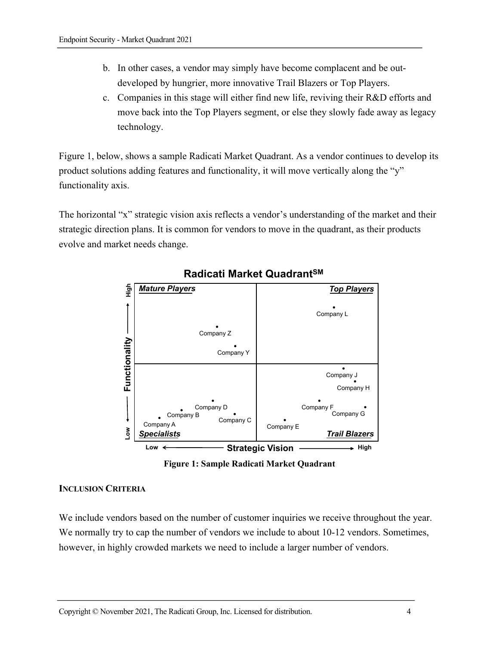- b. In other cases, a vendor may simply have become complacent and be outdeveloped by hungrier, more innovative Trail Blazers or Top Players.
- c. Companies in this stage will either find new life, reviving their R&D efforts and move back into the Top Players segment, or else they slowly fade away as legacy technology.

Figure 1, below, shows a sample Radicati Market Quadrant. As a vendor continues to develop its product solutions adding features and functionality, it will move vertically along the "y" functionality axis.

The horizontal "x" strategic vision axis reflects a vendor's understanding of the market and their strategic direction plans. It is common for vendors to move in the quadrant, as their products evolve and market needs change.



# **Radicati Market QuadrantSM**



#### **INCLUSION CRITERIA**

We include vendors based on the number of customer inquiries we receive throughout the year. We normally try to cap the number of vendors we include to about 10-12 vendors. Sometimes, however, in highly crowded markets we need to include a larger number of vendors.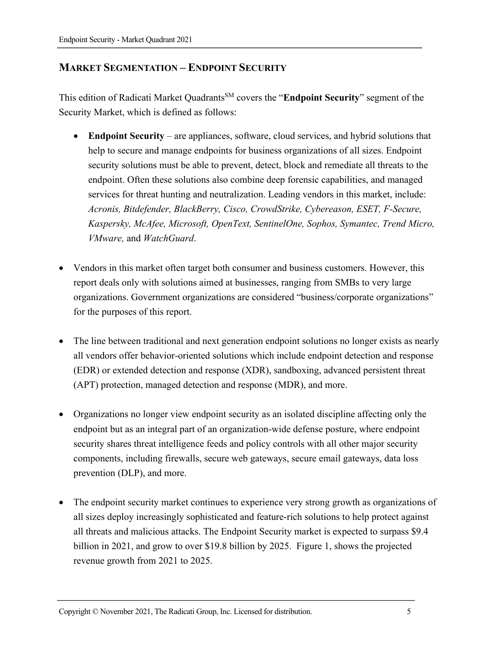# **MARKET SEGMENTATION – ENDPOINT SECURITY**

This edition of Radicati Market QuadrantsSM covers the "**Endpoint Security**" segment of the Security Market, which is defined as follows:

- **Endpoint Security** are appliances, software, cloud services, and hybrid solutions that help to secure and manage endpoints for business organizations of all sizes. Endpoint security solutions must be able to prevent, detect, block and remediate all threats to the endpoint. Often these solutions also combine deep forensic capabilities, and managed services for threat hunting and neutralization. Leading vendors in this market, include: *Acronis, Bitdefender, BlackBerry, Cisco, CrowdStrike, Cybereason, ESET, F-Secure, Kaspersky, McAfee, Microsoft, OpenText, SentinelOne, Sophos, Symantec, Trend Micro, VMware,* and *WatchGuard*.
- Vendors in this market often target both consumer and business customers. However, this report deals only with solutions aimed at businesses, ranging from SMBs to very large organizations. Government organizations are considered "business/corporate organizations" for the purposes of this report.
- The line between traditional and next generation endpoint solutions no longer exists as nearly all vendors offer behavior-oriented solutions which include endpoint detection and response (EDR) or extended detection and response (XDR), sandboxing, advanced persistent threat (APT) protection, managed detection and response (MDR), and more.
- Organizations no longer view endpoint security as an isolated discipline affecting only the endpoint but as an integral part of an organization-wide defense posture, where endpoint security shares threat intelligence feeds and policy controls with all other major security components, including firewalls, secure web gateways, secure email gateways, data loss prevention (DLP), and more.
- The endpoint security market continues to experience very strong growth as organizations of all sizes deploy increasingly sophisticated and feature-rich solutions to help protect against all threats and malicious attacks. The Endpoint Security market is expected to surpass \$9.4 billion in 2021, and grow to over \$19.8 billion by 2025. Figure 1, shows the projected revenue growth from 2021 to 2025.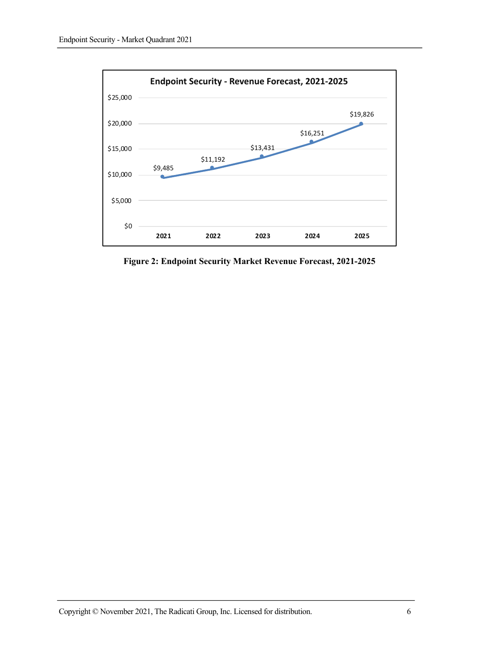

**Figure 2: Endpoint Security Market Revenue Forecast, 2021-2025**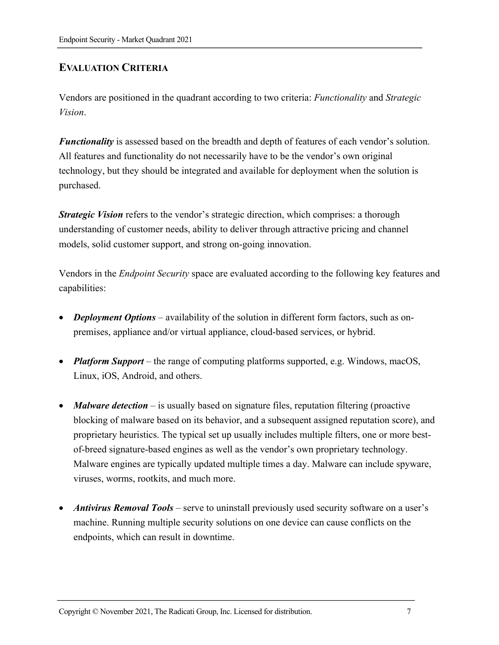# **EVALUATION CRITERIA**

Vendors are positioned in the quadrant according to two criteria: *Functionality* and *Strategic Vision*.

*Functionality* is assessed based on the breadth and depth of features of each vendor's solution. All features and functionality do not necessarily have to be the vendor's own original technology, but they should be integrated and available for deployment when the solution is purchased.

*Strategic Vision* refers to the vendor's strategic direction, which comprises: a thorough understanding of customer needs, ability to deliver through attractive pricing and channel models, solid customer support, and strong on-going innovation.

Vendors in the *Endpoint Security* space are evaluated according to the following key features and capabilities:

- *Deployment Options* availability of the solution in different form factors, such as onpremises, appliance and/or virtual appliance, cloud-based services, or hybrid.
- *Platform Support* the range of computing platforms supported, e.g. Windows, macOS, Linux, iOS, Android, and others.
- *Malware detection* is usually based on signature files, reputation filtering (proactive blocking of malware based on its behavior, and a subsequent assigned reputation score), and proprietary heuristics. The typical set up usually includes multiple filters, one or more bestof-breed signature-based engines as well as the vendor's own proprietary technology. Malware engines are typically updated multiple times a day. Malware can include spyware, viruses, worms, rootkits, and much more.
- *Antivirus Removal Tools*  serve to uninstall previously used security software on a user's machine. Running multiple security solutions on one device can cause conflicts on the endpoints, which can result in downtime.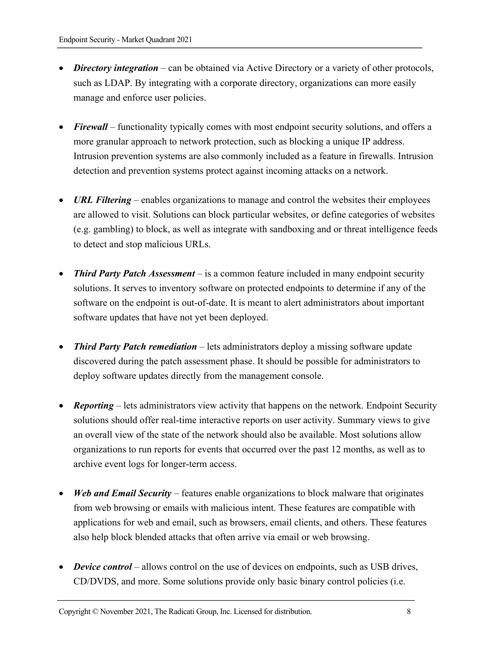- *Directory integration* can be obtained via Active Directory or a variety of other protocols, such as LDAP. By integrating with a corporate directory, organizations can more easily manage and enforce user policies.
- *Firewall* functionality typically comes with most endpoint security solutions, and offers a more granular approach to network protection, such as blocking a unique IP address. Intrusion prevention systems are also commonly included as a feature in firewalls. Intrusion detection and prevention systems protect against incoming attacks on a network.
- *URL Filtering* enables organizations to manage and control the websites their employees are allowed to visit. Solutions can block particular websites, or define categories of websites (e.g. gambling) to block, as well as integrate with sandboxing and or threat intelligence feeds to detect and stop malicious URLs.
- *Third Party Patch Assessment* is a common feature included in many endpoint security solutions. It serves to inventory software on protected endpoints to determine if any of the software on the endpoint is out-of-date. It is meant to alert administrators about important software updates that have not yet been deployed.
- *Third Party Patch remediation* lets administrators deploy a missing software update discovered during the patch assessment phase. It should be possible for administrators to deploy software updates directly from the management console.
- **Reporting** lets administrators view activity that happens on the network. Endpoint Security solutions should offer real-time interactive reports on user activity. Summary views to give an overall view of the state of the network should also be available. Most solutions allow organizations to run reports for events that occurred over the past 12 months, as well as to archive event logs for longer-term access.
- *Web and Email Security* features enable organizations to block malware that originates from web browsing or emails with malicious intent. These features are compatible with applications for web and email, such as browsers, email clients, and others. These features also help block blended attacks that often arrive via email or web browsing.
- *Device control* allows control on the use of devices on endpoints, such as USB drives, CD/DVDS, and more. Some solutions provide only basic binary control policies (i.e.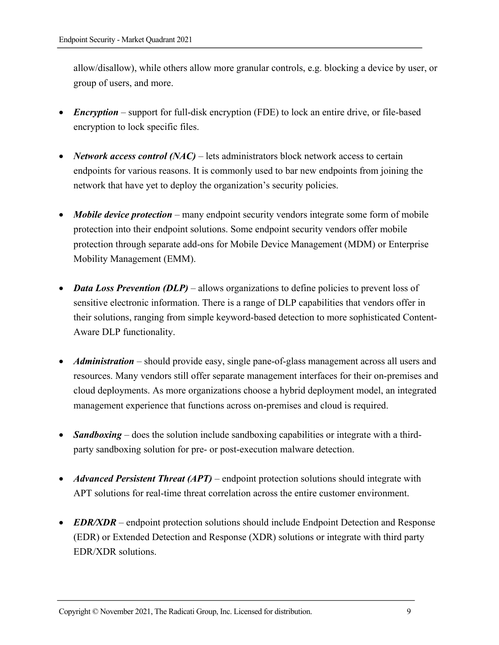allow/disallow), while others allow more granular controls, e.g. blocking a device by user, or group of users, and more.

- *Encryption* support for full-disk encryption (FDE) to lock an entire drive, or file-based encryption to lock specific files.
- *Network access control (NAC)* lets administrators block network access to certain endpoints for various reasons. It is commonly used to bar new endpoints from joining the network that have yet to deploy the organization's security policies.
- *Mobile device protection* many endpoint security vendors integrate some form of mobile protection into their endpoint solutions. Some endpoint security vendors offer mobile protection through separate add-ons for Mobile Device Management (MDM) or Enterprise Mobility Management (EMM).
- *Data Loss Prevention (DLP)* allows organizations to define policies to prevent loss of sensitive electronic information. There is a range of DLP capabilities that vendors offer in their solutions, ranging from simple keyword-based detection to more sophisticated Content-Aware DLP functionality.
- *Administration* should provide easy, single pane-of-glass management across all users and resources. Many vendors still offer separate management interfaces for their on-premises and cloud deployments. As more organizations choose a hybrid deployment model, an integrated management experience that functions across on-premises and cloud is required.
- *Sandboxing* does the solution include sandboxing capabilities or integrate with a thirdparty sandboxing solution for pre- or post-execution malware detection.
- *Advanced Persistent Threat (APT)* endpoint protection solutions should integrate with APT solutions for real-time threat correlation across the entire customer environment.
- *EDR/XDR* endpoint protection solutions should include Endpoint Detection and Response (EDR) or Extended Detection and Response (XDR) solutions or integrate with third party EDR/XDR solutions.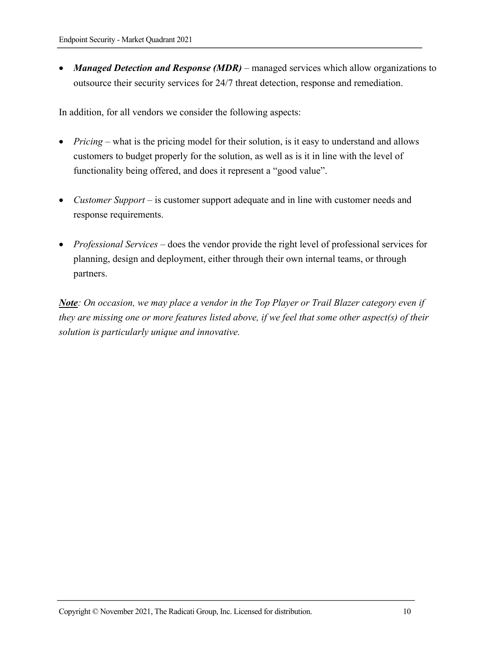• *Managed Detection and Response (MDR)* – managed services which allow organizations to outsource their security services for 24/7 threat detection, response and remediation.

In addition, for all vendors we consider the following aspects:

- *Pricing* what is the pricing model for their solution, is it easy to understand and allows customers to budget properly for the solution, as well as is it in line with the level of functionality being offered, and does it represent a "good value".
- *Customer Support* is customer support adequate and in line with customer needs and response requirements.
- *Professional Services* does the vendor provide the right level of professional services for planning, design and deployment, either through their own internal teams, or through partners.

*Note: On occasion, we may place a vendor in the Top Player or Trail Blazer category even if they are missing one or more features listed above, if we feel that some other aspect(s) of their solution is particularly unique and innovative.*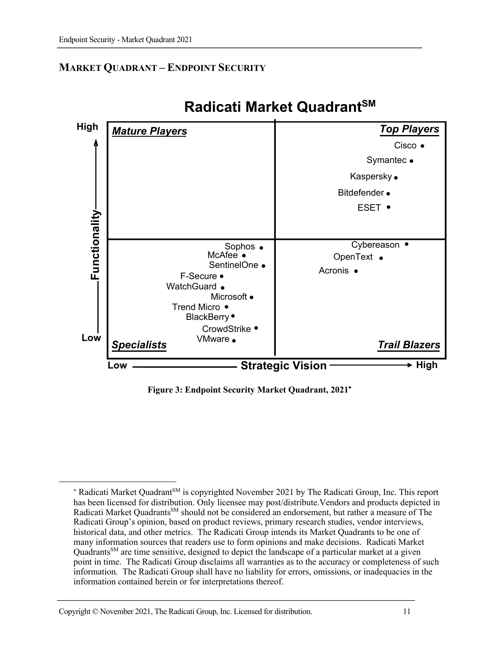# **MARKET QUADRANT – ENDPOINT SECURITY**



# **Radicati Market QuadrantSM**

**Figure 3: Endpoint Security Market Quadrant, 2021**\*

1

<sup>\*</sup> Radicati Market Quadrant<sup>SM</sup> is copyrighted November 2021 by The Radicati Group, Inc. This report has been licensed for distribution. Only licensee may post/distribute.Vendors and products depicted in Radicati Market Quadrants<sup>SM</sup> should not be considered an endorsement, but rather a measure of The Radicati Group's opinion, based on product reviews, primary research studies, vendor interviews, historical data, and other metrics. The Radicati Group intends its Market Quadrants to be one of many information sources that readers use to form opinions and make decisions. Radicati Market Quadrants<sup>SM</sup> are time sensitive, designed to depict the landscape of a particular market at a given point in time. The Radicati Group disclaims all warranties as to the accuracy or completeness of such information. The Radicati Group shall have no liability for errors, omissions, or inadequacies in the information contained herein or for interpretations thereof.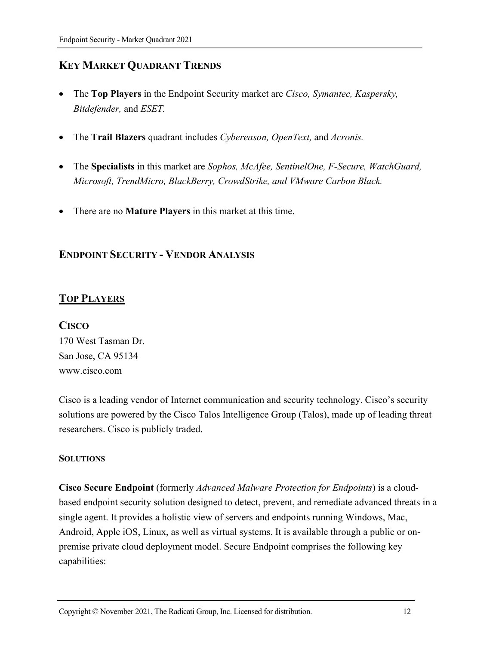# **KEY MARKET QUADRANT TRENDS**

- The **Top Players** in the Endpoint Security market are *Cisco, Symantec, Kaspersky, Bitdefender,* and *ESET.*
- The **Trail Blazers** quadrant includes *Cybereason, OpenText,* and *Acronis.*
- The **Specialists** in this market are *Sophos, McAfee, SentinelOne, F-Secure, WatchGuard, Microsoft, TrendMicro, BlackBerry, CrowdStrike, and VMware Carbon Black.*
- There are no **Mature Players** in this market at this time.

# **ENDPOINT SECURITY - VENDOR ANALYSIS**

# **TOP PLAYERS**

#### **CISCO**

170 West Tasman Dr. San Jose, CA 95134 www.cisco.com

Cisco is a leading vendor of Internet communication and security technology. Cisco's security solutions are powered by the Cisco Talos Intelligence Group (Talos), made up of leading threat researchers. Cisco is publicly traded.

#### **SOLUTIONS**

**Cisco Secure Endpoint** (formerly *Advanced Malware Protection for Endpoints*) is a cloudbased endpoint security solution designed to detect, prevent, and remediate advanced threats in a single agent. It provides a holistic view of servers and endpoints running Windows, Mac, Android, Apple iOS, Linux, as well as virtual systems. It is available through a public or onpremise private cloud deployment model. Secure Endpoint comprises the following key capabilities: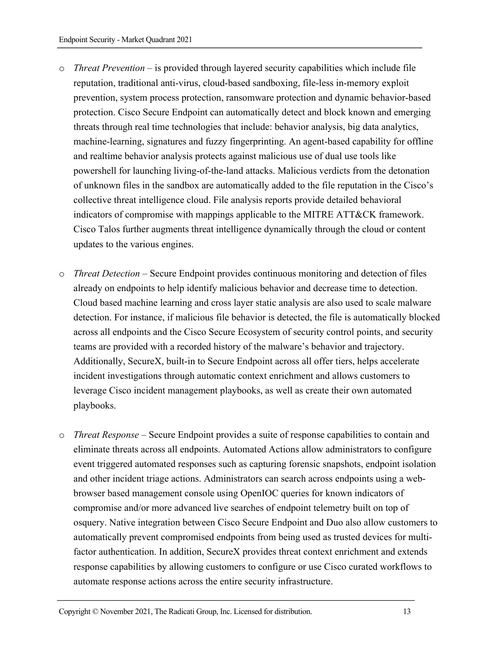- o *Threat Prevention*  is provided through layered security capabilities which include file reputation, traditional anti-virus, cloud-based sandboxing, file-less in-memory exploit prevention, system process protection, ransomware protection and dynamic behavior-based protection. Cisco Secure Endpoint can automatically detect and block known and emerging threats through real time technologies that include: behavior analysis, big data analytics, machine-learning, signatures and fuzzy fingerprinting. An agent-based capability for offline and realtime behavior analysis protects against malicious use of dual use tools like powershell for launching living-of-the-land attacks. Malicious verdicts from the detonation of unknown files in the sandbox are automatically added to the file reputation in the Cisco's collective threat intelligence cloud. File analysis reports provide detailed behavioral indicators of compromise with mappings applicable to the MITRE ATT&CK framework. Cisco Talos further augments threat intelligence dynamically through the cloud or content updates to the various engines.
- o *Threat Detection* Secure Endpoint provides continuous monitoring and detection of files already on endpoints to help identify malicious behavior and decrease time to detection. Cloud based machine learning and cross layer static analysis are also used to scale malware detection. For instance, if malicious file behavior is detected, the file is automatically blocked across all endpoints and the Cisco Secure Ecosystem of security control points, and security teams are provided with a recorded history of the malware's behavior and trajectory. Additionally, SecureX, built-in to Secure Endpoint across all offer tiers, helps accelerate incident investigations through automatic context enrichment and allows customers to leverage Cisco incident management playbooks, as well as create their own automated playbooks.
- o *Threat Response*  Secure Endpoint provides a suite of response capabilities to contain and eliminate threats across all endpoints. Automated Actions allow administrators to configure event triggered automated responses such as capturing forensic snapshots, endpoint isolation and other incident triage actions. Administrators can search across endpoints using a webbrowser based management console using OpenIOC queries for known indicators of compromise and/or more advanced live searches of endpoint telemetry built on top of osquery. Native integration between Cisco Secure Endpoint and Duo also allow customers to automatically prevent compromised endpoints from being used as trusted devices for multifactor authentication. In addition, SecureX provides threat context enrichment and extends response capabilities by allowing customers to configure or use Cisco curated workflows to automate response actions across the entire security infrastructure.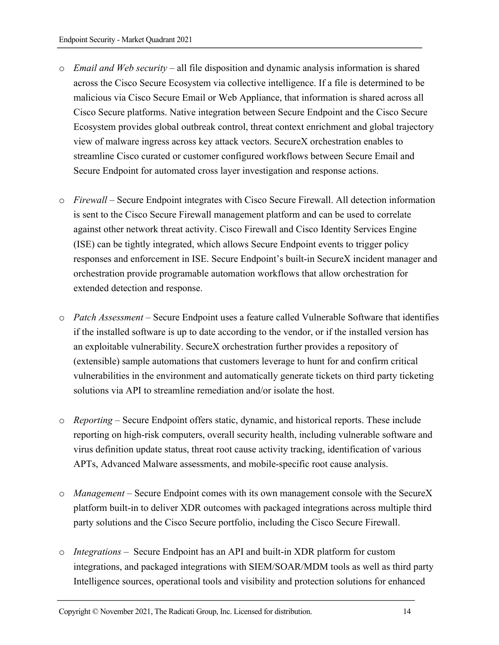- o *Email and Web security*  all file disposition and dynamic analysis information is shared across the Cisco Secure Ecosystem via collective intelligence. If a file is determined to be malicious via Cisco Secure Email or Web Appliance, that information is shared across all Cisco Secure platforms. Native integration between Secure Endpoint and the Cisco Secure Ecosystem provides global outbreak control, threat context enrichment and global trajectory view of malware ingress across key attack vectors. SecureX orchestration enables to streamline Cisco curated or customer configured workflows between Secure Email and Secure Endpoint for automated cross layer investigation and response actions.
- o *Firewall* Secure Endpoint integrates with Cisco Secure Firewall. All detection information is sent to the Cisco Secure Firewall management platform and can be used to correlate against other network threat activity. Cisco Firewall and Cisco Identity Services Engine (ISE) can be tightly integrated, which allows Secure Endpoint events to trigger policy responses and enforcement in ISE. Secure Endpoint's built-in SecureX incident manager and orchestration provide programable automation workflows that allow orchestration for extended detection and response.
- o *Patch Assessment* Secure Endpoint uses a feature called Vulnerable Software that identifies if the installed software is up to date according to the vendor, or if the installed version has an exploitable vulnerability. SecureX orchestration further provides a repository of (extensible) sample automations that customers leverage to hunt for and confirm critical vulnerabilities in the environment and automatically generate tickets on third party ticketing solutions via API to streamline remediation and/or isolate the host.
- o *Reporting*  Secure Endpoint offers static, dynamic, and historical reports. These include reporting on high-risk computers, overall security health, including vulnerable software and virus definition update status, threat root cause activity tracking, identification of various APTs, Advanced Malware assessments, and mobile-specific root cause analysis.
- o *Management*  Secure Endpoint comes with its own management console with the SecureX platform built-in to deliver XDR outcomes with packaged integrations across multiple third party solutions and the Cisco Secure portfolio, including the Cisco Secure Firewall.
- o *Integrations* Secure Endpoint has an API and built-in XDR platform for custom integrations, and packaged integrations with SIEM/SOAR/MDM tools as well as third party Intelligence sources, operational tools and visibility and protection solutions for enhanced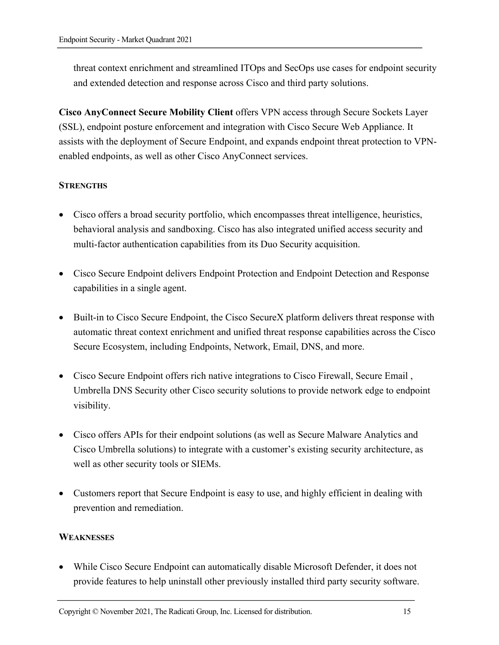threat context enrichment and streamlined ITOps and SecOps use cases for endpoint security and extended detection and response across Cisco and third party solutions.

**Cisco AnyConnect Secure Mobility Client** offers VPN access through Secure Sockets Layer (SSL), endpoint posture enforcement and integration with Cisco Secure Web Appliance. It assists with the deployment of Secure Endpoint, and expands endpoint threat protection to VPNenabled endpoints, as well as other Cisco AnyConnect services.

#### **STRENGTHS**

- Cisco offers a broad security portfolio, which encompasses threat intelligence, heuristics, behavioral analysis and sandboxing. Cisco has also integrated unified access security and multi-factor authentication capabilities from its Duo Security acquisition.
- Cisco Secure Endpoint delivers Endpoint Protection and Endpoint Detection and Response capabilities in a single agent.
- Built-in to Cisco Secure Endpoint, the Cisco SecureX platform delivers threat response with automatic threat context enrichment and unified threat response capabilities across the Cisco Secure Ecosystem, including Endpoints, Network, Email, DNS, and more.
- Cisco Secure Endpoint offers rich native integrations to Cisco Firewall, Secure Email , Umbrella DNS Security other Cisco security solutions to provide network edge to endpoint visibility.
- Cisco offers APIs for their endpoint solutions (as well as Secure Malware Analytics and Cisco Umbrella solutions) to integrate with a customer's existing security architecture, as well as other security tools or SIEMs.
- Customers report that Secure Endpoint is easy to use, and highly efficient in dealing with prevention and remediation.

#### **WEAKNESSES**

• While Cisco Secure Endpoint can automatically disable Microsoft Defender, it does not provide features to help uninstall other previously installed third party security software.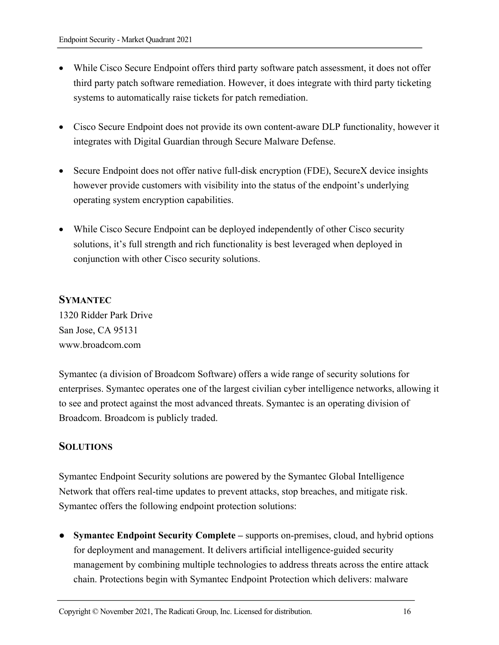- While Cisco Secure Endpoint offers third party software patch assessment, it does not offer third party patch software remediation. However, it does integrate with third party ticketing systems to automatically raise tickets for patch remediation.
- Cisco Secure Endpoint does not provide its own content-aware DLP functionality, however it integrates with Digital Guardian through Secure Malware Defense.
- Secure Endpoint does not offer native full-disk encryption (FDE), SecureX device insights however provide customers with visibility into the status of the endpoint's underlying operating system encryption capabilities.
- While Cisco Secure Endpoint can be deployed independently of other Cisco security solutions, it's full strength and rich functionality is best leveraged when deployed in conjunction with other Cisco security solutions.

#### **SYMANTEC**

1320 Ridder Park Drive San Jose, CA 95131 www.broadcom.com

Symantec (a division of Broadcom Software) offers a wide range of security solutions for enterprises. Symantec operates one of the largest civilian cyber intelligence networks, allowing it to see and protect against the most advanced threats. Symantec is an operating division of Broadcom. Broadcom is publicly traded.

#### **SOLUTIONS**

Symantec Endpoint Security solutions are powered by the Symantec Global Intelligence Network that offers real-time updates to prevent attacks, stop breaches, and mitigate risk. Symantec offers the following endpoint protection solutions:

● **Symantec Endpoint Security Complete –** supports on-premises, cloud, and hybrid options for deployment and management. It delivers artificial intelligence-guided security management by combining multiple technologies to address threats across the entire attack chain. Protections begin with Symantec Endpoint Protection which delivers: malware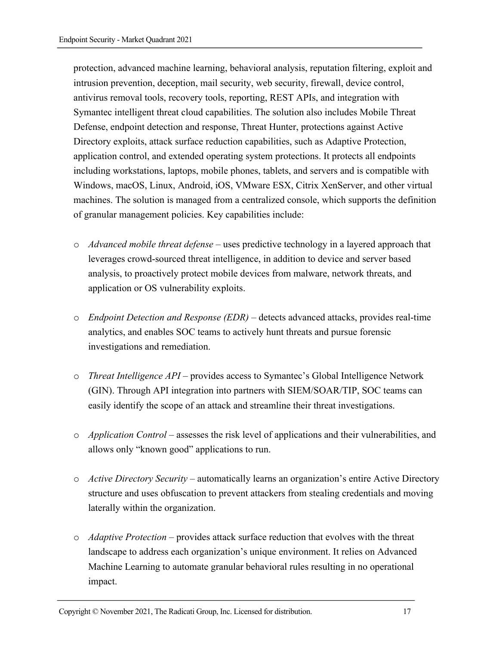protection, advanced machine learning, behavioral analysis, reputation filtering, exploit and intrusion prevention, deception, mail security, web security, firewall, device control, antivirus removal tools, recovery tools, reporting, REST APIs, and integration with Symantec intelligent threat cloud capabilities. The solution also includes Mobile Threat Defense, endpoint detection and response, Threat Hunter, protections against Active Directory exploits, attack surface reduction capabilities, such as Adaptive Protection, application control, and extended operating system protections. It protects all endpoints including workstations, laptops, mobile phones, tablets, and servers and is compatible with Windows, macOS, Linux, Android, iOS, VMware ESX, Citrix XenServer, and other virtual machines. The solution is managed from a centralized console, which supports the definition of granular management policies. Key capabilities include:

- o *Advanced mobile threat defense* uses predictive technology in a layered approach that leverages crowd-sourced threat intelligence, in addition to device and server based analysis, to proactively protect mobile devices from malware, network threats, and application or OS vulnerability exploits.
- o *Endpoint Detection and Response (EDR)* detects advanced attacks, provides real-time analytics, and enables SOC teams to actively hunt threats and pursue forensic investigations and remediation.
- o *Threat Intelligence API* provides access to Symantec's Global Intelligence Network (GIN). Through API integration into partners with SIEM/SOAR/TIP, SOC teams can easily identify the scope of an attack and streamline their threat investigations.
- o *Application Control* assesses the risk level of applications and their vulnerabilities, and allows only "known good" applications to run.
- o *Active Directory Security* automatically learns an organization's entire Active Directory structure and uses obfuscation to prevent attackers from stealing credentials and moving laterally within the organization.
- o *Adaptive Protection* provides attack surface reduction that evolves with the threat landscape to address each organization's unique environment. It relies on Advanced Machine Learning to automate granular behavioral rules resulting in no operational impact.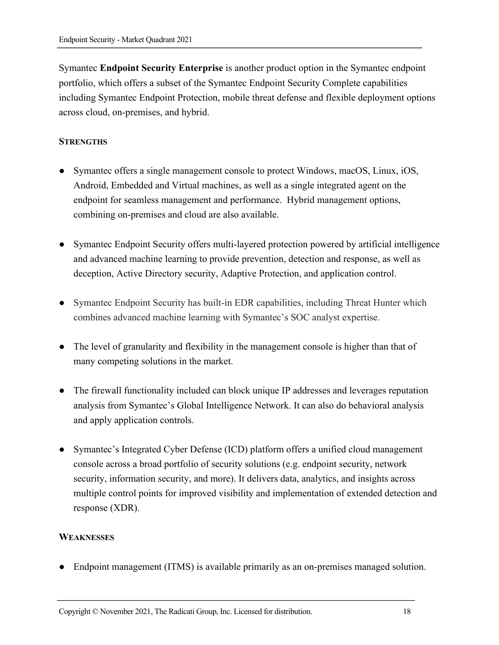Symantec **Endpoint Security Enterprise** is another product option in the Symantec endpoint portfolio, which offers a subset of the Symantec Endpoint Security Complete capabilities including Symantec Endpoint Protection, mobile threat defense and flexible deployment options across cloud, on-premises, and hybrid.

#### **STRENGTHS**

- Symantec offers a single management console to protect Windows, macOS, Linux, iOS, Android, Embedded and Virtual machines, as well as a single integrated agent on the endpoint for seamless management and performance. Hybrid management options, combining on-premises and cloud are also available.
- Symantec Endpoint Security offers multi-layered protection powered by artificial intelligence and advanced machine learning to provide prevention, detection and response, as well as deception, Active Directory security, Adaptive Protection, and application control.
- Symantec Endpoint Security has built-in EDR capabilities, including Threat Hunter which combines advanced machine learning with Symantec's SOC analyst expertise.
- The level of granularity and flexibility in the management console is higher than that of many competing solutions in the market.
- The firewall functionality included can block unique IP addresses and leverages reputation analysis from Symantec's Global Intelligence Network. It can also do behavioral analysis and apply application controls.
- Symantec's Integrated Cyber Defense (ICD) platform offers a unified cloud management console across a broad portfolio of security solutions (e.g. endpoint security, network security, information security, and more). It delivers data, analytics, and insights across multiple control points for improved visibility and implementation of extended detection and response (XDR).

#### **WEAKNESSES**

● Endpoint management (ITMS) is available primarily as an on-premises managed solution.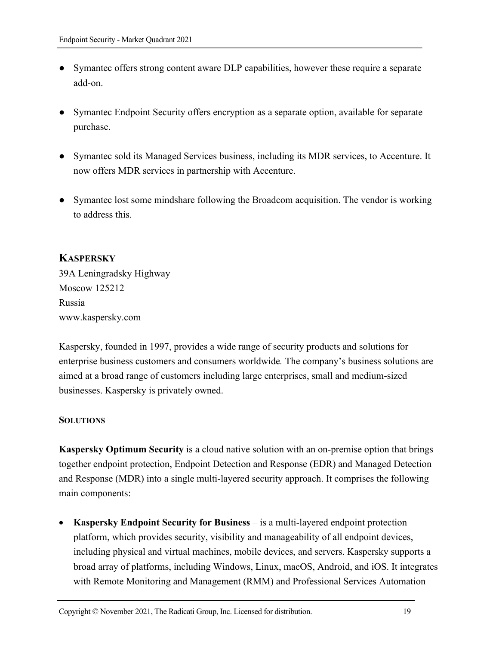- Symantec offers strong content aware DLP capabilities, however these require a separate add-on.
- Symantec Endpoint Security offers encryption as a separate option, available for separate purchase.
- Symantec sold its Managed Services business, including its MDR services, to Accenture. It now offers MDR services in partnership with Accenture.
- Symantec lost some mindshare following the Broadcom acquisition. The vendor is working to address this.

# **KASPERSKY**

39A Leningradsky Highway Moscow 125212 Russia www.kaspersky.com

Kaspersky, founded in 1997, provides a wide range of security products and solutions for enterprise business customers and consumers worldwide*.* The company's business solutions are aimed at a broad range of customers including large enterprises, small and medium-sized businesses. Kaspersky is privately owned.

#### **SOLUTIONS**

**Kaspersky Optimum Security** is a cloud native solution with an on-premise option that brings together endpoint protection, Endpoint Detection and Response (EDR) and Managed Detection and Response (MDR) into a single multi-layered security approach. It comprises the following main components:

• **Kaspersky Endpoint Security for Business** – is a multi-layered endpoint protection platform, which provides security, visibility and manageability of all endpoint devices, including physical and virtual machines, mobile devices, and servers. Kaspersky supports a broad array of platforms, including Windows, Linux, macOS, Android, and iOS. It integrates with Remote Monitoring and Management (RMM) and Professional Services Automation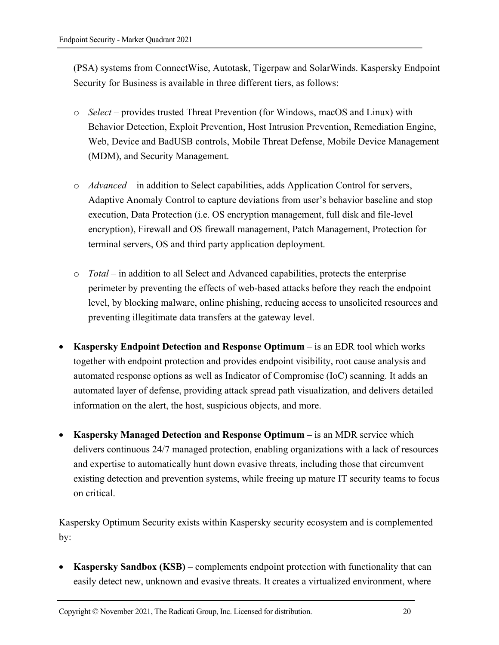(PSA) systems from ConnectWise, Autotask, Tigerpaw and SolarWinds. Kaspersky Endpoint Security for Business is available in three different tiers, as follows:

- o *Select* provides trusted Threat Prevention (for Windows, macOS and Linux) with Behavior Detection, Exploit Prevention, Host Intrusion Prevention, Remediation Engine, Web, Device and BadUSB controls, Mobile Threat Defense, Mobile Device Management (MDM), and Security Management.
- o *Advanced* in addition to Select capabilities, adds Application Control for servers, Adaptive Anomaly Control to capture deviations from user's behavior baseline and stop execution, Data Protection (i.e. OS encryption management, full disk and file-level encryption), Firewall and OS firewall management, Patch Management, Protection for terminal servers, OS and third party application deployment.
- o *Total* in addition to all Select and Advanced capabilities, protects the enterprise perimeter by preventing the effects of web-based attacks before they reach the endpoint level, by blocking malware, online phishing, reducing access to unsolicited resources and preventing illegitimate data transfers at the gateway level.
- **Kaspersky Endpoint Detection and Response Optimum**  is an EDR tool which works together with endpoint protection and provides endpoint visibility, root cause analysis and automated response options as well as Indicator of Compromise (IoC) scanning. It adds an automated layer of defense, providing attack spread path visualization, and delivers detailed information on the alert, the host, suspicious objects, and more.
- **Kaspersky Managed Detection and Response Optimum –** is an MDR service which delivers continuous 24/7 managed protection, enabling organizations with a lack of resources and expertise to automatically hunt down evasive threats, including those that circumvent existing detection and prevention systems, while freeing up mature IT security teams to focus on critical.

Kaspersky Optimum Security exists within Kaspersky security ecosystem and is complemented by:

• **Kaspersky Sandbox (KSB)** – complements endpoint protection with functionality that can easily detect new, unknown and evasive threats. It creates a virtualized environment, where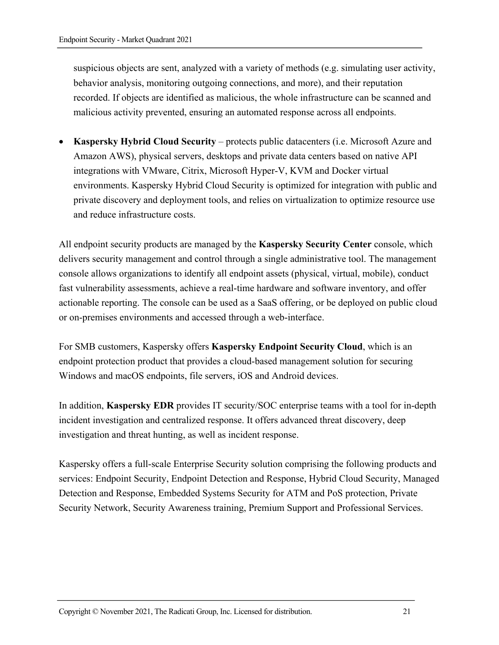suspicious objects are sent, analyzed with a variety of methods (e.g. simulating user activity, behavior analysis, monitoring outgoing connections, and more), and their reputation recorded. If objects are identified as malicious, the whole infrastructure can be scanned and malicious activity prevented, ensuring an automated response across all endpoints.

• **Kaspersky Hybrid Cloud Security** – protects public datacenters (i.e. Microsoft Azure and Amazon AWS), physical servers, desktops and private data centers based on native API integrations with VMware, Citrix, Microsoft Hyper-V, KVM and Docker virtual environments. Kaspersky Hybrid Cloud Security is optimized for integration with public and private discovery and deployment tools, and relies on virtualization to optimize resource use and reduce infrastructure costs.

All endpoint security products are managed by the **Kaspersky Security Center** console, which delivers security management and control through a single administrative tool. The management console allows organizations to identify all endpoint assets (physical, virtual, mobile), conduct fast vulnerability assessments, achieve a real-time hardware and software inventory, and offer actionable reporting. The console can be used as a SaaS offering, or be deployed on public cloud or on-premises environments and accessed through a web-interface.

For SMB customers, Kaspersky offers **Kaspersky Endpoint Security Cloud**, which is an endpoint protection product that provides a cloud-based management solution for securing Windows and macOS endpoints, file servers, iOS and Android devices.

In addition, **Kaspersky EDR** provides IT security/SOC enterprise teams with a tool for in-depth incident investigation and centralized response. It offers advanced threat discovery, deep investigation and threat hunting, as well as incident response.

Kaspersky offers a full-scale Enterprise Security solution comprising the following products and services: Endpoint Security, Endpoint Detection and Response, Hybrid Cloud Security, Managed Detection and Response, Embedded Systems Security for ATM and PoS protection, Private Security Network, Security Awareness training, Premium Support and Professional Services.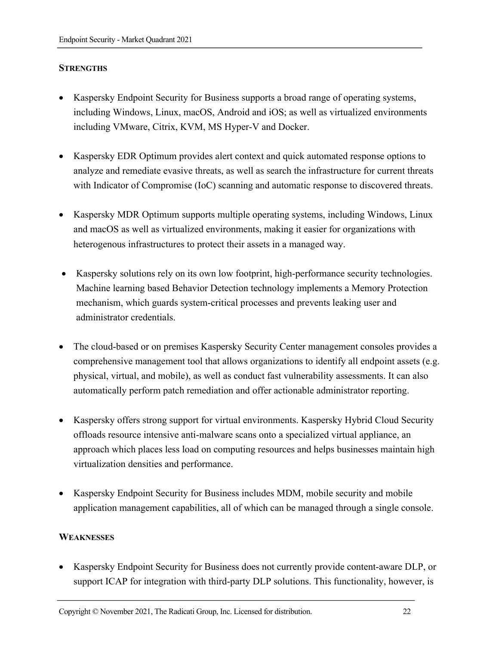#### **STRENGTHS**

- Kaspersky Endpoint Security for Business supports a broad range of operating systems, including Windows, Linux, macOS, Android and iOS; as well as virtualized environments including VMware, Citrix, KVM, MS Hyper-V and Docker.
- Kaspersky EDR Optimum provides alert context and quick automated response options to analyze and remediate evasive threats, as well as search the infrastructure for current threats with Indicator of Compromise (IoC) scanning and automatic response to discovered threats.
- Kaspersky MDR Optimum supports multiple operating systems, including Windows, Linux and macOS as well as virtualized environments, making it easier for organizations with heterogenous infrastructures to protect their assets in a managed way.
- Kaspersky solutions rely on its own low footprint, high-performance security technologies. Machine learning based Behavior Detection technology implements a Memory Protection mechanism, which guards system-critical processes and prevents leaking user and administrator credentials.
- The cloud-based or on premises Kaspersky Security Center management consoles provides a comprehensive management tool that allows organizations to identify all endpoint assets (e.g. physical, virtual, and mobile), as well as conduct fast vulnerability assessments. It can also automatically perform patch remediation and offer actionable administrator reporting.
- Kaspersky offers strong support for virtual environments. Kaspersky Hybrid Cloud Security offloads resource intensive anti-malware scans onto a specialized virtual appliance, an approach which places less load on computing resources and helps businesses maintain high virtualization densities and performance.
- Kaspersky Endpoint Security for Business includes MDM, mobile security and mobile application management capabilities, all of which can be managed through a single console.

#### **WEAKNESSES**

• Kaspersky Endpoint Security for Business does not currently provide content-aware DLP, or support ICAP for integration with third-party DLP solutions. This functionality, however, is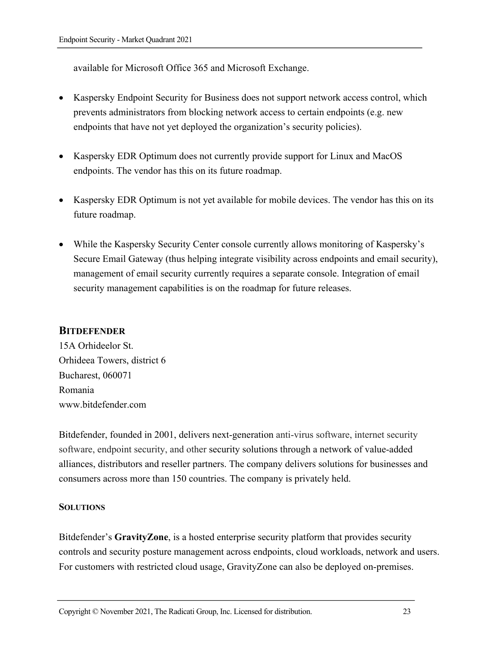available for Microsoft Office 365 and Microsoft Exchange.

- Kaspersky Endpoint Security for Business does not support network access control, which prevents administrators from blocking network access to certain endpoints (e.g. new endpoints that have not yet deployed the organization's security policies).
- Kaspersky EDR Optimum does not currently provide support for Linux and MacOS endpoints. The vendor has this on its future roadmap.
- Kaspersky EDR Optimum is not yet available for mobile devices. The vendor has this on its future roadmap.
- While the Kaspersky Security Center console currently allows monitoring of Kaspersky's Secure Email Gateway (thus helping integrate visibility across endpoints and email security), management of email security currently requires a separate console. Integration of email security management capabilities is on the roadmap for future releases.

#### **BITDEFENDER**

15A Orhideelor St. Orhideea Towers, district 6 Bucharest, 060071 Romania www.bitdefender.com

Bitdefender, founded in 2001, delivers next-generation anti-virus software, internet security software, endpoint security, and other security solutions through a network of value-added alliances, distributors and reseller partners. The company delivers solutions for businesses and consumers across more than 150 countries. The company is privately held.

#### **SOLUTIONS**

Bitdefender's **GravityZone**, is a hosted enterprise security platform that provides security controls and security posture management across endpoints, cloud workloads, network and users. For customers with restricted cloud usage, GravityZone can also be deployed on-premises.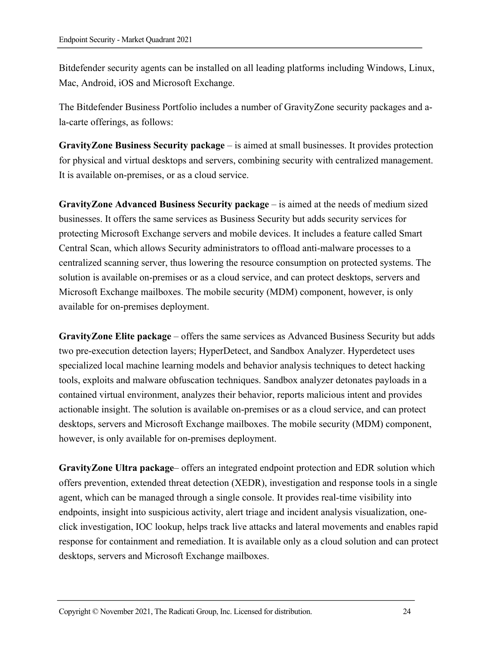Bitdefender security agents can be installed on all leading platforms including Windows, Linux, Mac, Android, iOS and Microsoft Exchange.

The Bitdefender Business Portfolio includes a number of GravityZone security packages and ala-carte offerings, as follows:

**GravityZone Business Security package** – is aimed at small businesses. It provides protection for physical and virtual desktops and servers, combining security with centralized management. It is available on-premises, or as a cloud service.

**GravityZone Advanced Business Security package** – is aimed at the needs of medium sized businesses. It offers the same services as Business Security but adds security services for protecting Microsoft Exchange servers and mobile devices. It includes a feature called Smart Central Scan, which allows Security administrators to offload anti-malware processes to a centralized scanning server, thus lowering the resource consumption on protected systems. The solution is available on-premises or as a cloud service, and can protect desktops, servers and Microsoft Exchange mailboxes. The mobile security (MDM) component, however, is only available for on-premises deployment.

**GravityZone Elite package** – offers the same services as Advanced Business Security but adds two pre-execution detection layers; HyperDetect, and Sandbox Analyzer. Hyperdetect uses specialized local machine learning models and behavior analysis techniques to detect hacking tools, exploits and malware obfuscation techniques. Sandbox analyzer detonates payloads in a contained virtual environment, analyzes their behavior, reports malicious intent and provides actionable insight. The solution is available on-premises or as a cloud service, and can protect desktops, servers and Microsoft Exchange mailboxes. The mobile security (MDM) component, however, is only available for on-premises deployment.

**GravityZone Ultra package**– offers an integrated endpoint protection and EDR solution which offers prevention, extended threat detection (XEDR), investigation and response tools in a single agent, which can be managed through a single console. It provides real-time visibility into endpoints, insight into suspicious activity, alert triage and incident analysis visualization, oneclick investigation, IOC lookup, helps track live attacks and lateral movements and enables rapid response for containment and remediation. It is available only as a cloud solution and can protect desktops, servers and Microsoft Exchange mailboxes.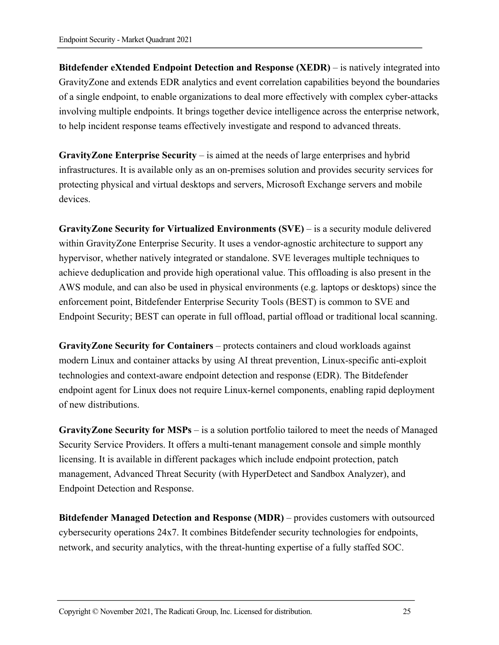**Bitdefender eXtended Endpoint Detection and Response (XEDR)** – is natively integrated into GravityZone and extends EDR analytics and event correlation capabilities beyond the boundaries of a single endpoint, to enable organizations to deal more effectively with complex cyber-attacks involving multiple endpoints. It brings together device intelligence across the enterprise network, to help incident response teams effectively investigate and respond to advanced threats.

**GravityZone Enterprise Security** – is aimed at the needs of large enterprises and hybrid infrastructures. It is available only as an on-premises solution and provides security services for protecting physical and virtual desktops and servers, Microsoft Exchange servers and mobile devices.

**GravityZone Security for Virtualized Environments (SVE)** – is a security module delivered within GravityZone Enterprise Security. It uses a vendor-agnostic architecture to support any hypervisor, whether natively integrated or standalone. SVE leverages multiple techniques to achieve deduplication and provide high operational value. This offloading is also present in the AWS module, and can also be used in physical environments (e.g. laptops or desktops) since the enforcement point, Bitdefender Enterprise Security Tools (BEST) is common to SVE and Endpoint Security; BEST can operate in full offload, partial offload or traditional local scanning.

**GravityZone Security for Containers** – protects containers and cloud workloads against modern Linux and container attacks by using AI threat prevention, Linux-specific anti-exploit technologies and context-aware endpoint detection and response (EDR). The Bitdefender endpoint agent for Linux does not require Linux-kernel components, enabling rapid deployment of new distributions.

**GravityZone Security for MSPs** – is a solution portfolio tailored to meet the needs of Managed Security Service Providers. It offers a multi-tenant management console and simple monthly licensing. It is available in different packages which include endpoint protection, patch management, Advanced Threat Security (with HyperDetect and Sandbox Analyzer), and Endpoint Detection and Response.

**Bitdefender Managed Detection and Response (MDR)** – provides customers with outsourced cybersecurity operations 24x7. It combines Bitdefender security technologies for endpoints, network, and security analytics, with the threat-hunting expertise of a fully staffed SOC.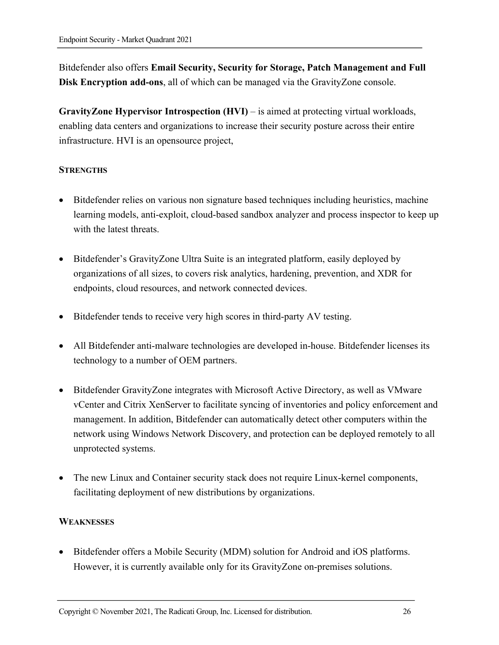Bitdefender also offers **Email Security, Security for Storage, Patch Management and Full Disk Encryption add-ons**, all of which can be managed via the GravityZone console.

**GravityZone Hypervisor Introspection (HVI)** – is aimed at protecting virtual workloads, enabling data centers and organizations to increase their security posture across their entire infrastructure. HVI is an opensource project,

#### **STRENGTHS**

- Bitdefender relies on various non signature based techniques including heuristics, machine learning models, anti-exploit, cloud-based sandbox analyzer and process inspector to keep up with the latest threats.
- Bitdefender's GravityZone Ultra Suite is an integrated platform, easily deployed by organizations of all sizes, to covers risk analytics, hardening, prevention, and XDR for endpoints, cloud resources, and network connected devices.
- Bitdefender tends to receive very high scores in third-party AV testing.
- All Bitdefender anti-malware technologies are developed in-house. Bitdefender licenses its technology to a number of OEM partners.
- Bitdefender GravityZone integrates with Microsoft Active Directory, as well as VMware vCenter and Citrix XenServer to facilitate syncing of inventories and policy enforcement and management. In addition, Bitdefender can automatically detect other computers within the network using Windows Network Discovery, and protection can be deployed remotely to all unprotected systems.
- The new Linux and Container security stack does not require Linux-kernel components, facilitating deployment of new distributions by organizations.

#### **WEAKNESSES**

• Bitdefender offers a Mobile Security (MDM) solution for Android and iOS platforms. However, it is currently available only for its GravityZone on-premises solutions.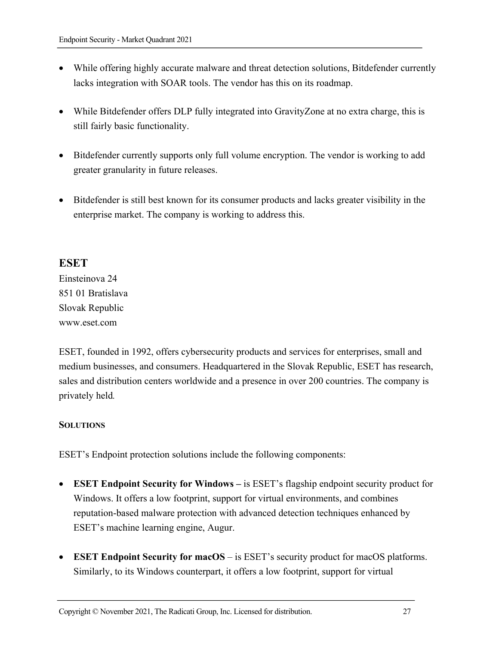- While offering highly accurate malware and threat detection solutions, Bitdefender currently lacks integration with SOAR tools. The vendor has this on its roadmap.
- While Bitdefender offers DLP fully integrated into GravityZone at no extra charge, this is still fairly basic functionality.
- Bitdefender currently supports only full volume encryption. The vendor is working to add greater granularity in future releases.
- Bitdefender is still best known for its consumer products and lacks greater visibility in the enterprise market. The company is working to address this.

#### **ESET**

Einsteinova 24 851 01 Bratislava Slovak Republic www.eset.com

ESET, founded in 1992, offers cybersecurity products and services for enterprises, small and medium businesses, and consumers. Headquartered in the Slovak Republic, ESET has research, sales and distribution centers worldwide and a presence in over 200 countries. The company is privately held*.* 

#### **SOLUTIONS**

ESET's Endpoint protection solutions include the following components:

- **ESET Endpoint Security for Windows –** is ESET's flagship endpoint security product for Windows. It offers a low footprint, support for virtual environments, and combines reputation-based malware protection with advanced detection techniques enhanced by ESET's machine learning engine, Augur.
- **ESET Endpoint Security for macOS** is ESET's security product for macOS platforms. Similarly, to its Windows counterpart, it offers a low footprint, support for virtual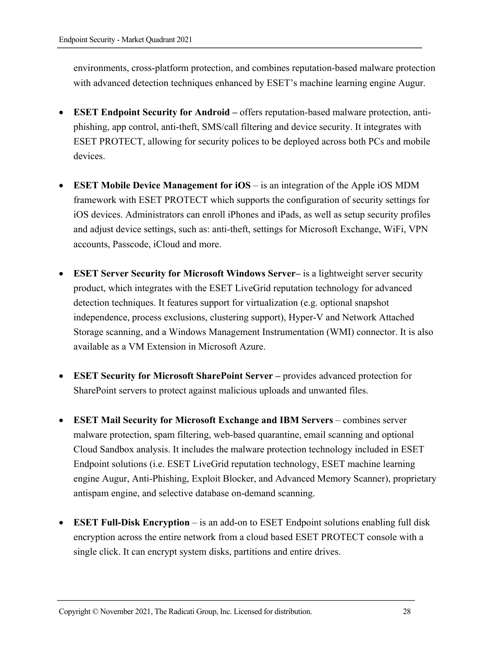environments, cross-platform protection, and combines reputation-based malware protection with advanced detection techniques enhanced by ESET's machine learning engine Augur.

- **ESET Endpoint Security for Android –** offers reputation-based malware protection, antiphishing, app control, anti-theft, SMS/call filtering and device security. It integrates with ESET PROTECT, allowing for security polices to be deployed across both PCs and mobile devices.
- **ESET Mobile Device Management for iOS** is an integration of the Apple iOS MDM framework with ESET PROTECT which supports the configuration of security settings for iOS devices. Administrators can enroll iPhones and iPads, as well as setup security profiles and adjust device settings, such as: anti-theft, settings for Microsoft Exchange, WiFi, VPN accounts, Passcode, iCloud and more.
- **ESET Server Security for Microsoft Windows Server–** is a lightweight server security product, which integrates with the ESET LiveGrid reputation technology for advanced detection techniques. It features support for virtualization (e.g. optional snapshot independence, process exclusions, clustering support), Hyper-V and Network Attached Storage scanning, and a Windows Management Instrumentation (WMI) connector. It is also available as a VM Extension in Microsoft Azure.
- **ESET Security for Microsoft SharePoint Server –** provides advanced protection for SharePoint servers to protect against malicious uploads and unwanted files.
- **ESET Mail Security for Microsoft Exchange and IBM Servers** combines server malware protection, spam filtering, web-based quarantine, email scanning and optional Cloud Sandbox analysis. It includes the malware protection technology included in ESET Endpoint solutions (i.e. ESET LiveGrid reputation technology, ESET machine learning engine Augur, Anti-Phishing, Exploit Blocker, and Advanced Memory Scanner), proprietary antispam engine, and selective database on-demand scanning.
- **ESET Full-Disk Encryption** is an add-on to ESET Endpoint solutions enabling full disk encryption across the entire network from a cloud based ESET PROTECT console with a single click. It can encrypt system disks, partitions and entire drives.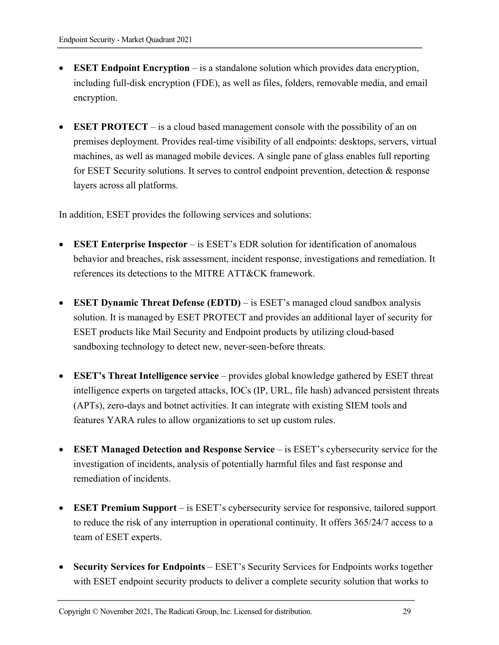- **ESET Endpoint Encryption** is a standalone solution which provides data encryption, including full-disk encryption (FDE), as well as files, folders, removable media, and email encryption.
- **ESET PROTECT** is a cloud based management console with the possibility of an on premises deployment. Provides real-time visibility of all endpoints: desktops, servers, virtual machines, as well as managed mobile devices. A single pane of glass enables full reporting for ESET Security solutions. It serves to control endpoint prevention, detection & response layers across all platforms.

In addition, ESET provides the following services and solutions:

- **ESET Enterprise Inspector** is ESET's EDR solution for identification of anomalous behavior and breaches, risk assessment, incident response, investigations and remediation. It references its detections to the MITRE ATT&CK framework.
- **ESET Dynamic Threat Defense (EDTD)** is ESET's managed cloud sandbox analysis solution. It is managed by ESET PROTECT and provides an additional layer of security for ESET products like Mail Security and Endpoint products by utilizing cloud-based sandboxing technology to detect new, never-seen-before threats.
- **ESET's Threat Intelligence service** provides global knowledge gathered by ESET threat intelligence experts on targeted attacks, IOCs (IP, URL, file hash) advanced persistent threats (APTs), zero-days and botnet activities. It can integrate with existing SIEM tools and features YARA rules to allow organizations to set up custom rules.
- **ESET Managed Detection and Response Service** is ESET's cybersecurity service for the investigation of incidents, analysis of potentially harmful files and fast response and remediation of incidents.
- **ESET Premium Support** is ESET's cybersecurity service for responsive, tailored support to reduce the risk of any interruption in operational continuity. It offers 365/24/7 access to a team of ESET experts.
- **Security Services for Endpoints**  ESET's Security Services for Endpoints works together with ESET endpoint security products to deliver a complete security solution that works to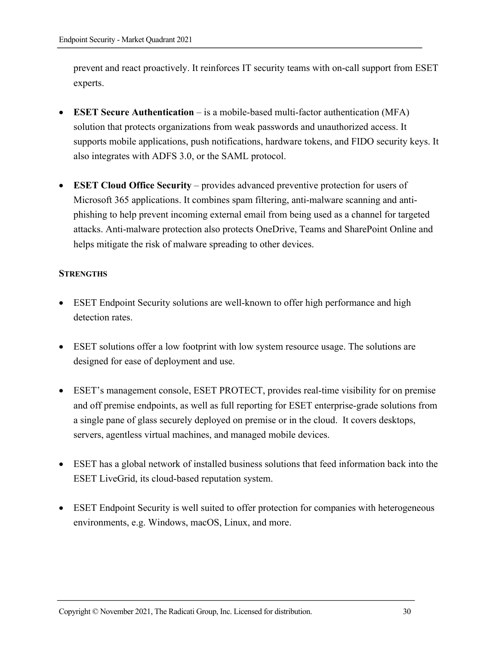prevent and react proactively. It reinforces IT security teams with on-call support from ESET experts.

- **ESET Secure Authentication**  is a mobile-based multi-factor authentication (MFA) solution that protects organizations from weak passwords and unauthorized access. It supports mobile applications, push notifications, hardware tokens, and FIDO security keys. It also integrates with ADFS 3.0, or the SAML protocol.
- **ESET Cloud Office Security** provides advanced preventive protection for users of Microsoft 365 applications. It combines spam filtering, anti-malware scanning and antiphishing to help prevent incoming external email from being used as a channel for targeted attacks. Anti-malware protection also protects OneDrive, Teams and SharePoint Online and helps mitigate the risk of malware spreading to other devices.

#### **STRENGTHS**

- ESET Endpoint Security solutions are well-known to offer high performance and high detection rates.
- ESET solutions offer a low footprint with low system resource usage. The solutions are designed for ease of deployment and use.
- ESET's management console, ESET PROTECT, provides real-time visibility for on premise and off premise endpoints, as well as full reporting for ESET enterprise-grade solutions from a single pane of glass securely deployed on premise or in the cloud. It covers desktops, servers, agentless virtual machines, and managed mobile devices.
- ESET has a global network of installed business solutions that feed information back into the ESET LiveGrid, its cloud-based reputation system.
- ESET Endpoint Security is well suited to offer protection for companies with heterogeneous environments, e.g. Windows, macOS, Linux, and more.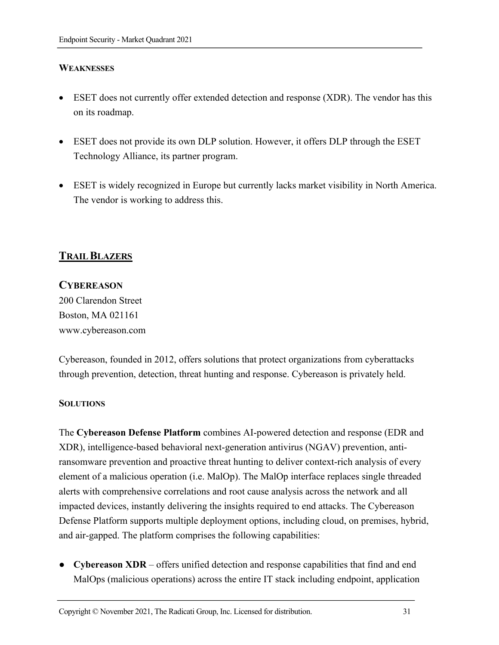#### **WEAKNESSES**

- ESET does not currently offer extended detection and response (XDR). The vendor has this on its roadmap.
- ESET does not provide its own DLP solution. However, it offers DLP through the ESET Technology Alliance, its partner program.
- ESET is widely recognized in Europe but currently lacks market visibility in North America. The vendor is working to address this.

# **TRAIL BLAZERS**

#### **CYBEREASON**

200 Clarendon Street Boston, MA 021161 www.cybereason.com

Cybereason, founded in 2012, offers solutions that protect organizations from cyberattacks through prevention, detection, threat hunting and response. Cybereason is privately held.

#### **SOLUTIONS**

The **Cybereason Defense Platform** combines AI-powered detection and response (EDR and XDR), intelligence-based behavioral next-generation antivirus (NGAV) prevention, antiransomware prevention and proactive threat hunting to deliver context-rich analysis of every element of a malicious operation (i.e. MalOp). The MalOp interface replaces single threaded alerts with comprehensive correlations and root cause analysis across the network and all impacted devices, instantly delivering the insights required to end attacks. The Cybereason Defense Platform supports multiple deployment options, including cloud, on premises, hybrid, and air-gapped. The platform comprises the following capabilities:

● **Cybereason XDR** – offers unified detection and response capabilities that find and end MalOps (malicious operations) across the entire IT stack including endpoint, application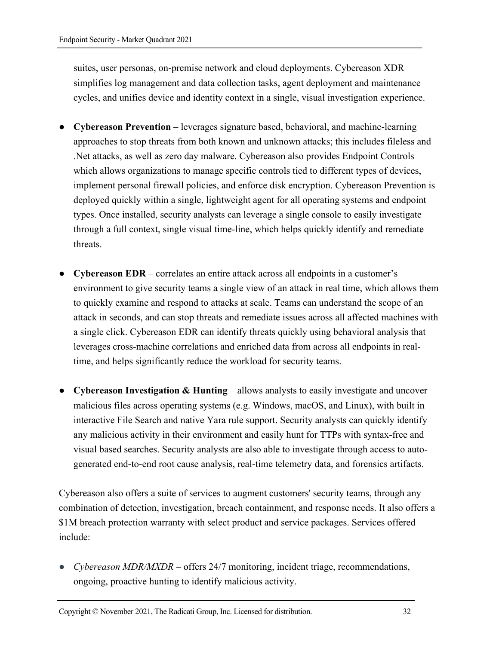suites, user personas, on-premise network and cloud deployments. Cybereason XDR simplifies log management and data collection tasks, agent deployment and maintenance cycles, and unifies device and identity context in a single, visual investigation experience.

- **Cybereason Prevention** leverages signature based, behavioral, and machine-learning approaches to stop threats from both known and unknown attacks; this includes fileless and .Net attacks, as well as zero day malware. Cybereason also provides Endpoint Controls which allows organizations to manage specific controls tied to different types of devices, implement personal firewall policies, and enforce disk encryption. Cybereason Prevention is deployed quickly within a single, lightweight agent for all operating systems and endpoint types. Once installed, security analysts can leverage a single console to easily investigate through a full context, single visual time-line, which helps quickly identify and remediate threats.
- **Cybereason EDR** correlates an entire attack across all endpoints in a customer's environment to give security teams a single view of an attack in real time, which allows them to quickly examine and respond to attacks at scale. Teams can understand the scope of an attack in seconds, and can stop threats and remediate issues across all affected machines with a single click. Cybereason EDR can identify threats quickly using behavioral analysis that leverages cross-machine correlations and enriched data from across all endpoints in realtime, and helps significantly reduce the workload for security teams.
- **Cybereason Investigation & Hunting** allows analysts to easily investigate and uncover malicious files across operating systems (e.g. Windows, macOS, and Linux), with built in interactive File Search and native Yara rule support. Security analysts can quickly identify any malicious activity in their environment and easily hunt for TTPs with syntax-free and visual based searches. Security analysts are also able to investigate through access to autogenerated end-to-end root cause analysis, real-time telemetry data, and forensics artifacts.

Cybereason also offers a suite of services to augment customers' security teams, through any combination of detection, investigation, breach containment, and response needs. It also offers a \$1M breach protection warranty with select product and service packages. Services offered include:

• *Cybereason MDR/MXDR* – offers 24/7 monitoring, incident triage, recommendations, ongoing, proactive hunting to identify malicious activity.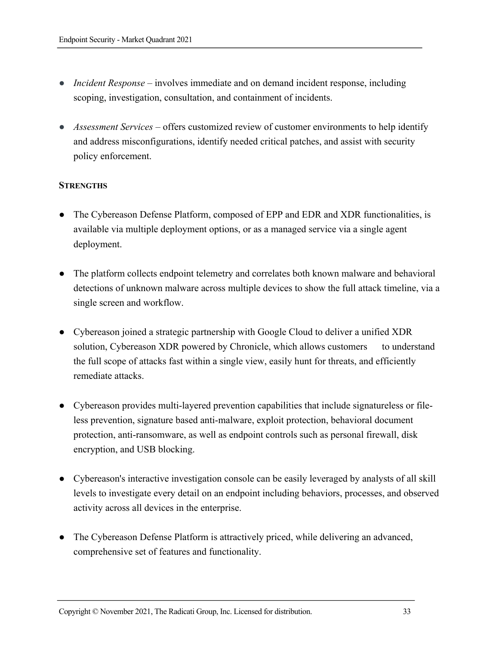- *Incident Response* involves immediate and on demand incident response, including scoping, investigation, consultation, and containment of incidents.
- *Assessment Services* offers customized review of customer environments to help identify and address misconfigurations, identify needed critical patches, and assist with security policy enforcement.

#### **STRENGTHS**

- The Cybereason Defense Platform, composed of EPP and EDR and XDR functionalities, is available via multiple deployment options, or as a managed service via a single agent deployment.
- The platform collects endpoint telemetry and correlates both known malware and behavioral detections of unknown malware across multiple devices to show the full attack timeline, via a single screen and workflow.
- Cybereason joined a strategic partnership with Google Cloud to deliver a unified XDR solution, Cybereason XDR powered by Chronicle, which allows customers to understand the full scope of attacks fast within a single view, easily hunt for threats, and efficiently remediate attacks.
- Cybereason provides multi-layered prevention capabilities that include signatureless or fileless prevention, signature based anti-malware, exploit protection, behavioral document protection, anti-ransomware, as well as endpoint controls such as personal firewall, disk encryption, and USB blocking.
- Cybereason's interactive investigation console can be easily leveraged by analysts of all skill levels to investigate every detail on an endpoint including behaviors, processes, and observed activity across all devices in the enterprise.
- The Cybereason Defense Platform is attractively priced, while delivering an advanced, comprehensive set of features and functionality.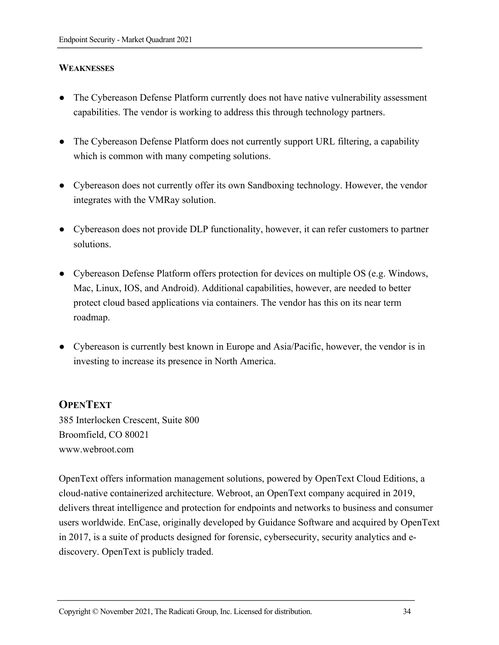#### **WEAKNESSES**

- The Cybereason Defense Platform currently does not have native vulnerability assessment capabilities. The vendor is working to address this through technology partners.
- The Cybereason Defense Platform does not currently support URL filtering, a capability which is common with many competing solutions.
- Cybereason does not currently offer its own Sandboxing technology. However, the vendor integrates with the VMRay solution.
- Cybereason does not provide DLP functionality, however, it can refer customers to partner solutions.
- Cybereason Defense Platform offers protection for devices on multiple OS (e.g. Windows, Mac, Linux, IOS, and Android). Additional capabilities, however, are needed to better protect cloud based applications via containers. The vendor has this on its near term roadmap.
- Cybereason is currently best known in Europe and Asia/Pacific, however, the vendor is in investing to increase its presence in North America.

#### **OPENTEXT**

385 Interlocken Crescent, Suite 800 Broomfield, CO 80021 www.webroot.com

OpenText offers information management solutions, powered by OpenText Cloud Editions, a cloud-native containerized architecture. Webroot, an OpenText company acquired in 2019, delivers threat intelligence and protection for endpoints and networks to business and consumer users worldwide. EnCase, originally developed by Guidance Software and acquired by OpenText in 2017, is a suite of products designed for forensic, cybersecurity, security analytics and ediscovery. OpenText is publicly traded.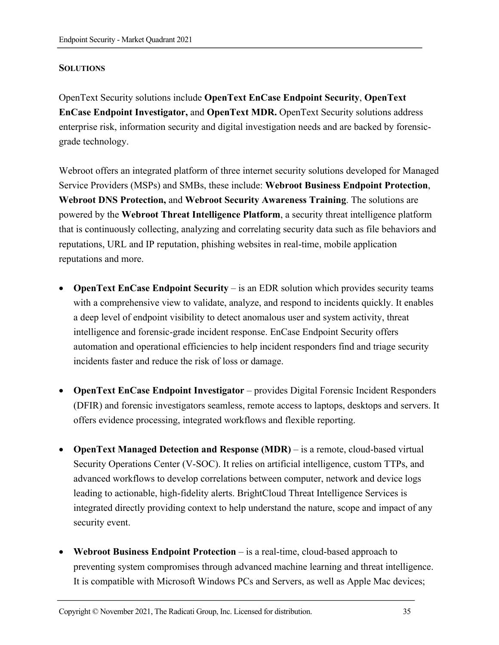#### **SOLUTIONS**

OpenText Security solutions include **OpenText EnCase Endpoint Security**, **OpenText EnCase Endpoint Investigator,** and **OpenText MDR.** OpenText Security solutions address enterprise risk, information security and digital investigation needs and are backed by forensicgrade technology.

Webroot offers an integrated platform of three internet security solutions developed for Managed Service Providers (MSPs) and SMBs, these include: **Webroot Business Endpoint Protection**, **Webroot DNS Protection,** and **Webroot Security Awareness Training**. The solutions are powered by the **Webroot Threat Intelligence Platform**, a security threat intelligence platform that is continuously collecting, analyzing and correlating security data such as file behaviors and reputations, URL and IP reputation, phishing websites in real-time, mobile application reputations and more.

- **OpenText EnCase Endpoint Security** is an EDR solution which provides security teams with a comprehensive view to validate, analyze, and respond to incidents quickly. It enables a deep level of endpoint visibility to detect anomalous user and system activity, threat intelligence and forensic-grade incident response. EnCase Endpoint Security offers automation and operational efficiencies to help incident responders find and triage security incidents faster and reduce the risk of loss or damage.
- **OpenText EnCase Endpoint Investigator** provides Digital Forensic Incident Responders (DFIR) and forensic investigators seamless, remote access to laptops, desktops and servers. It offers evidence processing, integrated workflows and flexible reporting.
- **OpenText Managed Detection and Response (MDR)**  is a remote, cloud-based virtual Security Operations Center (V-SOC). It relies on artificial intelligence, custom TTPs, and advanced workflows to develop correlations between computer, network and device logs leading to actionable, high-fidelity alerts. BrightCloud Threat Intelligence Services is integrated directly providing context to help understand the nature, scope and impact of any security event.
- **Webroot Business Endpoint Protection**  is a real-time, cloud-based approach to preventing system compromises through advanced machine learning and threat intelligence. It is compatible with Microsoft Windows PCs and Servers, as well as Apple Mac devices;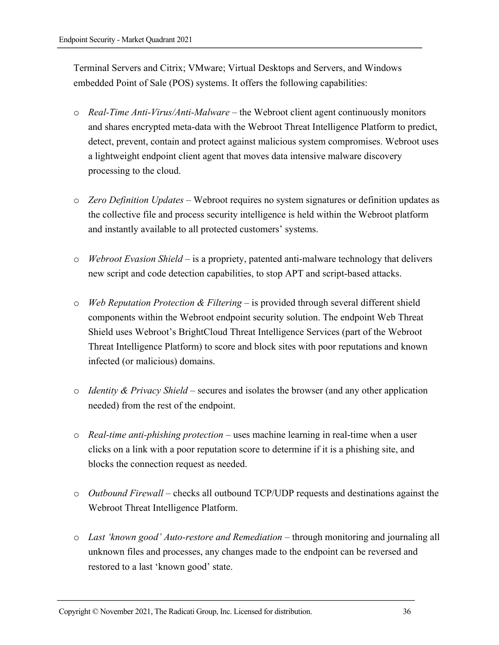Terminal Servers and Citrix; VMware; Virtual Desktops and Servers, and Windows embedded Point of Sale (POS) systems. It offers the following capabilities:

- o *Real-Time Anti-Virus/Anti-Malware –* the Webroot client agent continuously monitors and shares encrypted meta-data with the Webroot Threat Intelligence Platform to predict, detect, prevent, contain and protect against malicious system compromises. Webroot uses a lightweight endpoint client agent that moves data intensive malware discovery processing to the cloud.
- o *Zero Definition Updates –* Webroot requires no system signatures or definition updates as the collective file and process security intelligence is held within the Webroot platform and instantly available to all protected customers' systems.
- o *Webroot Evasion Shield –* is a propriety, patented anti-malware technology that delivers new script and code detection capabilities, to stop APT and script-based attacks.
- o *Web Reputation Protection & Filtering –* is provided through several different shield components within the Webroot endpoint security solution. The endpoint Web Threat Shield uses Webroot's BrightCloud Threat Intelligence Services (part of the Webroot Threat Intelligence Platform) to score and block sites with poor reputations and known infected (or malicious) domains.
- o *Identity & Privacy Shield* secures and isolates the browser (and any other application needed) from the rest of the endpoint.
- o *Real-time anti-phishing protection*  uses machine learning in real-time when a user clicks on a link with a poor reputation score to determine if it is a phishing site, and blocks the connection request as needed.
- o *Outbound Firewall –* checks all outbound TCP/UDP requests and destinations against the Webroot Threat Intelligence Platform.
- o *Last 'known good' Auto-restore and Remediation* through monitoring and journaling all unknown files and processes, any changes made to the endpoint can be reversed and restored to a last 'known good' state.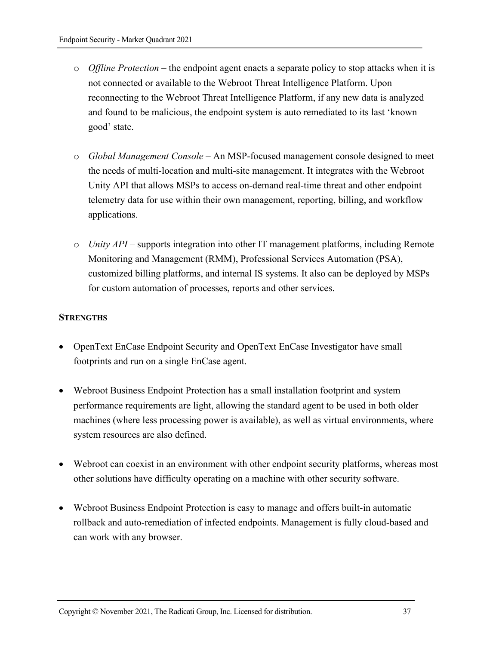- o *Offline Protection –* the endpoint agent enacts a separate policy to stop attacks when it is not connected or available to the Webroot Threat Intelligence Platform. Upon reconnecting to the Webroot Threat Intelligence Platform, if any new data is analyzed and found to be malicious, the endpoint system is auto remediated to its last 'known good' state.
- o *Global Management Console* An MSP-focused management console designed to meet the needs of multi-location and multi-site management. It integrates with the Webroot Unity API that allows MSPs to access on-demand real-time threat and other endpoint telemetry data for use within their own management, reporting, billing, and workflow applications.
- o *Unity API –* supports integration into other IT management platforms, including Remote Monitoring and Management (RMM), Professional Services Automation (PSA), customized billing platforms, and internal IS systems. It also can be deployed by MSPs for custom automation of processes, reports and other services.

## **STRENGTHS**

- OpenText EnCase Endpoint Security and OpenText EnCase Investigator have small footprints and run on a single EnCase agent.
- Webroot Business Endpoint Protection has a small installation footprint and system performance requirements are light, allowing the standard agent to be used in both older machines (where less processing power is available), as well as virtual environments, where system resources are also defined.
- Webroot can coexist in an environment with other endpoint security platforms, whereas most other solutions have difficulty operating on a machine with other security software.
- Webroot Business Endpoint Protection is easy to manage and offers built-in automatic rollback and auto-remediation of infected endpoints. Management is fully cloud-based and can work with any browser.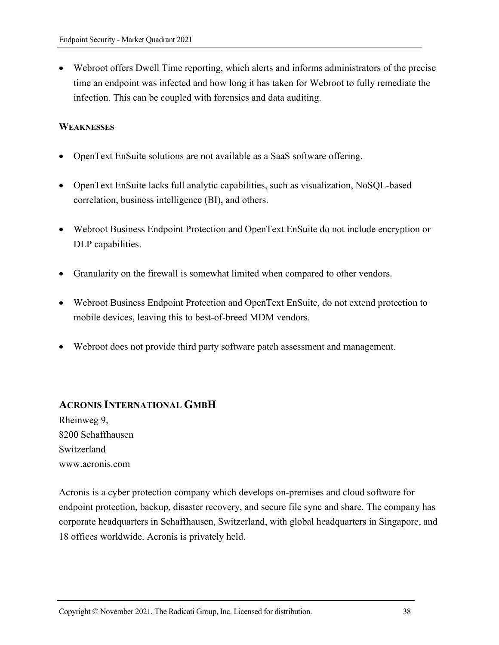• Webroot offers Dwell Time reporting, which alerts and informs administrators of the precise time an endpoint was infected and how long it has taken for Webroot to fully remediate the infection. This can be coupled with forensics and data auditing.

#### **WEAKNESSES**

- OpenText EnSuite solutions are not available as a SaaS software offering.
- OpenText EnSuite lacks full analytic capabilities, such as visualization, NoSQL-based correlation, business intelligence (BI), and others.
- Webroot Business Endpoint Protection and OpenText EnSuite do not include encryption or DLP capabilities.
- Granularity on the firewall is somewhat limited when compared to other vendors.
- Webroot Business Endpoint Protection and OpenText EnSuite, do not extend protection to mobile devices, leaving this to best-of-breed MDM vendors.
- Webroot does not provide third party software patch assessment and management.

## **ACRONIS INTERNATIONAL GMBH**

Rheinweg 9, 8200 Schaffhausen Switzerland www.acronis.com

Acronis is a cyber protection company which develops on-premises and cloud software for endpoint protection, backup, disaster recovery, and secure file sync and share. The company has corporate headquarters in Schaffhausen, Switzerland, with global headquarters in Singapore, and 18 offices worldwide. Acronis is privately held.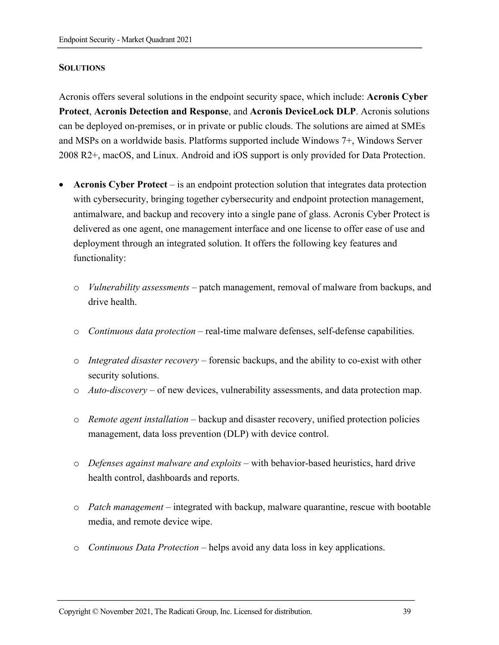#### **SOLUTIONS**

Acronis offers several solutions in the endpoint security space, which include: **Acronis Cyber Protect**, **Acronis Detection and Response**, and **Acronis DeviceLock DLP**. Acronis solutions can be deployed on-premises, or in private or public clouds. The solutions are aimed at SMEs and MSPs on a worldwide basis. Platforms supported include Windows 7+, Windows Server 2008 R2+, macOS, and Linux. Android and iOS support is only provided for Data Protection.

- **Acronis Cyber Protect** is an endpoint protection solution that integrates data protection with cybersecurity, bringing together cybersecurity and endpoint protection management, antimalware, and backup and recovery into a single pane of glass. Acronis Cyber Protect is delivered as one agent, one management interface and one license to offer ease of use and deployment through an integrated solution. It offers the following key features and functionality:
	- o *Vulnerability assessments* patch management, removal of malware from backups, and drive health.
	- o *Continuous data protection* real-time malware defenses, self-defense capabilities.
	- o *Integrated disaster recovery* forensic backups, and the ability to co-exist with other security solutions.
	- o *Auto-discovery*  of new devices, vulnerability assessments, and data protection map.
	- o *Remote agent installation* backup and disaster recovery, unified protection policies management, data loss prevention (DLP) with device control.
	- o *Defenses against malware and exploits* with behavior-based heuristics, hard drive health control, dashboards and reports.
	- o *Patch management* integrated with backup, malware quarantine, rescue with bootable media, and remote device wipe.
	- o *Continuous Data Protection* helps avoid any data loss in key applications.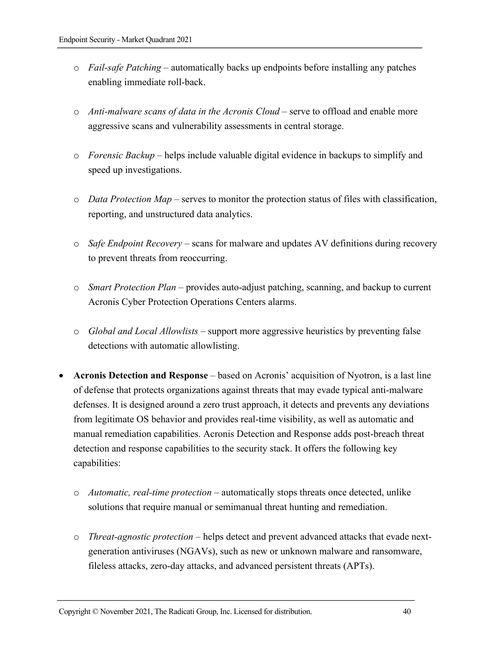- o *Fail-safe Patching* automatically backs up endpoints before installing any patches enabling immediate roll-back.
- o *Anti-malware scans of data in the Acronis Cloud* serve to offload and enable more aggressive scans and vulnerability assessments in central storage.
- o *Forensic Backup* helps include valuable digital evidence in backups to simplify and speed up investigations.
- o *Data Protection Map* serves to monitor the protection status of files with classification, reporting, and unstructured data analytics.
- o *Safe Endpoint Recovery* scans for malware and updates AV definitions during recovery to prevent threats from reoccurring.
- o *Smart Protection Plan* provides auto-adjust patching, scanning, and backup to current Acronis Cyber Protection Operations Centers alarms.
- o *Global and Local Allowlists* support more aggressive heuristics by preventing false detections with automatic allowlisting.
- **Acronis Detection and Response** based on Acronis' acquisition of Nyotron, is a last line of defense that protects organizations against threats that may evade typical anti-malware defenses. It is designed around a zero trust approach, it detects and prevents any deviations from legitimate OS behavior and provides real-time visibility, as well as automatic and manual remediation capabilities. Acronis Detection and Response adds post-breach threat detection and response capabilities to the security stack. It offers the following key capabilities:
	- o *Automatic, real-time protection* automatically stops threats once detected, unlike solutions that require manual or semimanual threat hunting and remediation.
	- o *Threat-agnostic protection*  helps detect and prevent advanced attacks that evade nextgeneration antiviruses (NGAVs), such as new or unknown malware and ransomware, fileless attacks, zero-day attacks, and advanced persistent threats (APTs).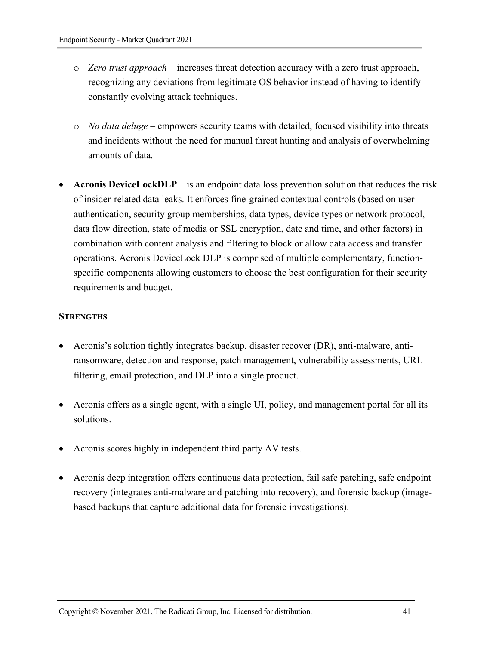- o *Zero trust approach* increases threat detection accuracy with a zero trust approach, recognizing any deviations from legitimate OS behavior instead of having to identify constantly evolving attack techniques.
- o *No data deluge* empowers security teams with detailed, focused visibility into threats and incidents without the need for manual threat hunting and analysis of overwhelming amounts of data.
- **Acronis DeviceLockDLP** is an endpoint data loss prevention solution that reduces the risk of insider-related data leaks. It enforces fine-grained contextual controls (based on user authentication, security group memberships, data types, device types or network protocol, data flow direction, state of media or SSL encryption, date and time, and other factors) in combination with content analysis and filtering to block or allow data access and transfer operations. Acronis DeviceLock DLP is comprised of multiple complementary, functionspecific components allowing customers to choose the best configuration for their security requirements and budget.

## **STRENGTHS**

- Acronis's solution tightly integrates backup, disaster recover (DR), anti-malware, antiransomware, detection and response, patch management, vulnerability assessments, URL filtering, email protection, and DLP into a single product.
- Acronis offers as a single agent, with a single UI, policy, and management portal for all its solutions.
- Acronis scores highly in independent third party AV tests.
- Acronis deep integration offers continuous data protection, fail safe patching, safe endpoint recovery (integrates anti-malware and patching into recovery), and forensic backup (imagebased backups that capture additional data for forensic investigations).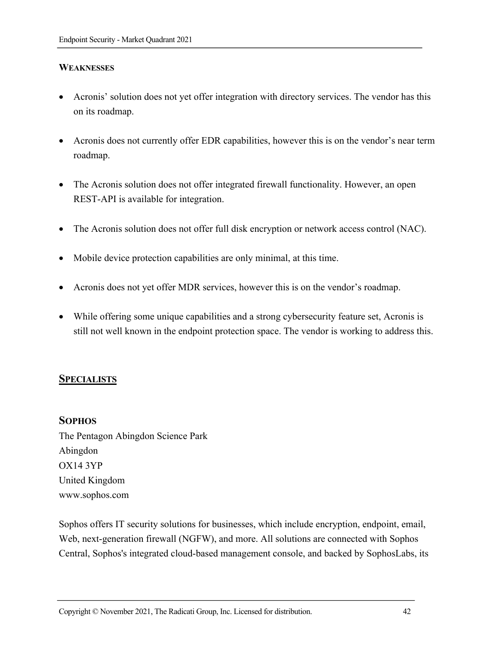## **WEAKNESSES**

- Acronis' solution does not yet offer integration with directory services. The vendor has this on its roadmap.
- Acronis does not currently offer EDR capabilities, however this is on the vendor's near term roadmap.
- The Acronis solution does not offer integrated firewall functionality. However, an open REST-API is available for integration.
- The Acronis solution does not offer full disk encryption or network access control (NAC).
- Mobile device protection capabilities are only minimal, at this time.
- Acronis does not yet offer MDR services, however this is on the vendor's roadmap.
- While offering some unique capabilities and a strong cybersecurity feature set, Acronis is still not well known in the endpoint protection space. The vendor is working to address this.

## **SPECIALISTS**

#### **SOPHOS**

The Pentagon Abingdon Science Park Abingdon OX14 3YP United Kingdom www.sophos.com

Sophos offers IT security solutions for businesses, which include encryption, endpoint, email, Web, next-generation firewall (NGFW), and more. All solutions are connected with Sophos Central, Sophos's integrated cloud-based management console, and backed by SophosLabs, its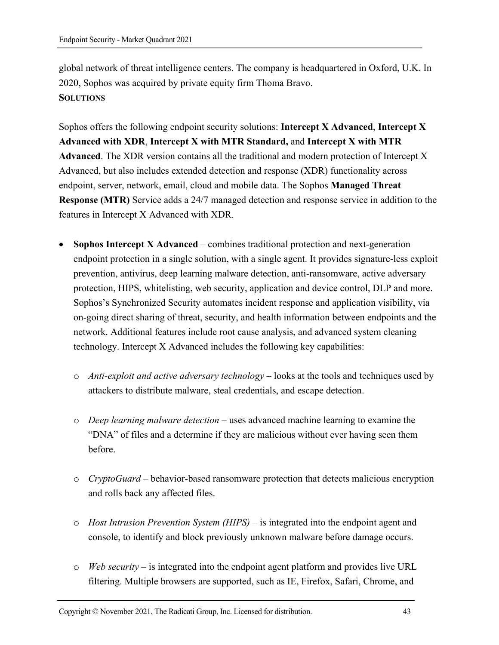global network of threat intelligence centers. The company is headquartered in Oxford, U.K. In 2020, Sophos was acquired by private equity firm Thoma Bravo. **SOLUTIONS**

Sophos offers the following endpoint security solutions: **Intercept X Advanced**, **Intercept X Advanced with XDR**, **Intercept X with MTR Standard,** and **Intercept X with MTR Advanced**. The XDR version contains all the traditional and modern protection of Intercept X Advanced, but also includes extended detection and response (XDR) functionality across endpoint, server, network, email, cloud and mobile data. The Sophos **Managed Threat Response (MTR)** Service adds a 24/7 managed detection and response service in addition to the features in Intercept X Advanced with XDR.

- **Sophos Intercept X Advanced** combines traditional protection and next-generation endpoint protection in a single solution, with a single agent. It provides signature-less exploit prevention, antivirus, deep learning malware detection, anti-ransomware, active adversary protection, HIPS, whitelisting, web security, application and device control, DLP and more. Sophos's Synchronized Security automates incident response and application visibility, via on-going direct sharing of threat, security, and health information between endpoints and the network. Additional features include root cause analysis, and advanced system cleaning technology. Intercept X Advanced includes the following key capabilities:
	- o *Anti-exploit and active adversary technology* looks at the tools and techniques used by attackers to distribute malware, steal credentials, and escape detection.
	- o *Deep learning malware detection* uses advanced machine learning to examine the "DNA" of files and a determine if they are malicious without ever having seen them before.
	- o *CryptoGuard* behavior-based ransomware protection that detects malicious encryption and rolls back any affected files.
	- o *Host Intrusion Prevention System (HIPS)* is integrated into the endpoint agent and console, to identify and block previously unknown malware before damage occurs.
	- o *Web security* is integrated into the endpoint agent platform and provides live URL filtering. Multiple browsers are supported, such as IE, Firefox, Safari, Chrome, and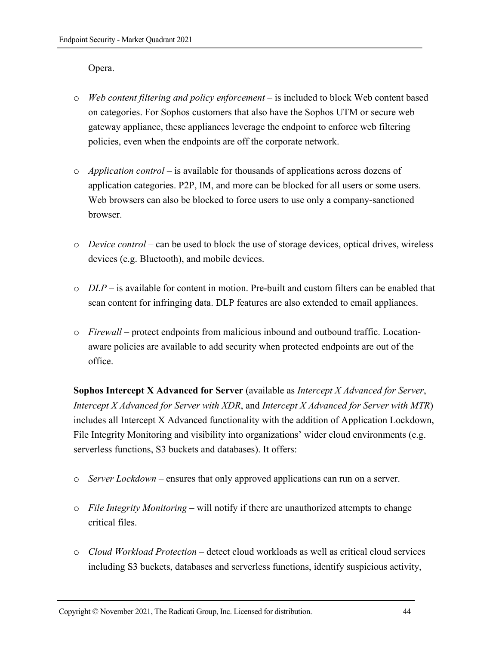Opera.

- o *Web content filtering and policy enforcement* is included to block Web content based on categories. For Sophos customers that also have the Sophos UTM or secure web gateway appliance, these appliances leverage the endpoint to enforce web filtering policies, even when the endpoints are off the corporate network.
- o *Application control*  is available for thousands of applications across dozens of application categories. P2P, IM, and more can be blocked for all users or some users. Web browsers can also be blocked to force users to use only a company-sanctioned browser.
- o *Device control*  can be used to block the use of storage devices, optical drives, wireless devices (e.g. Bluetooth), and mobile devices.
- $\circ$  *DLP* is available for content in motion. Pre-built and custom filters can be enabled that scan content for infringing data. DLP features are also extended to email appliances.
- o *Firewall*  protect endpoints from malicious inbound and outbound traffic. Locationaware policies are available to add security when protected endpoints are out of the office.

**Sophos Intercept X Advanced for Server** (available as *Intercept X Advanced for Server*, *Intercept X Advanced for Server with XDR*, and *Intercept X Advanced for Server with MTR*) includes all Intercept X Advanced functionality with the addition of Application Lockdown, File Integrity Monitoring and visibility into organizations' wider cloud environments (e.g. serverless functions, S3 buckets and databases). It offers:

- o *Server Lockdown* ensures that only approved applications can run on a server.
- o *File Integrity Monitoring* will notify if there are unauthorized attempts to change critical files.
- o *Cloud Workload Protection* detect cloud workloads as well as critical cloud services including S3 buckets, databases and serverless functions, identify suspicious activity,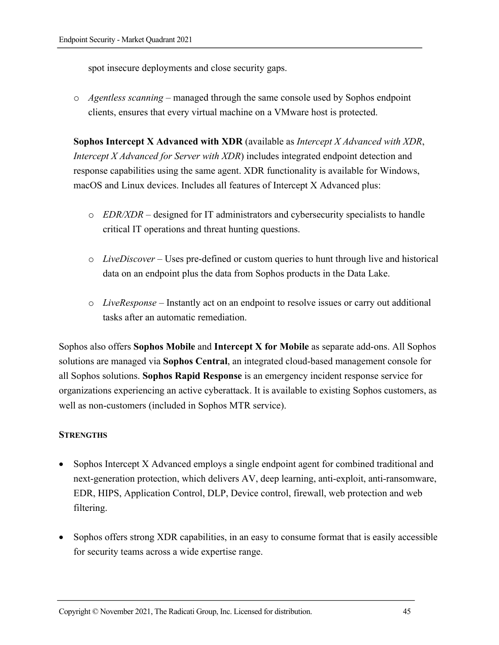spot insecure deployments and close security gaps.

o *Agentless scanning* – managed through the same console used by Sophos endpoint clients, ensures that every virtual machine on a VMware host is protected.

**Sophos Intercept X Advanced with XDR** (available as *Intercept X Advanced with XDR*, *Intercept X Advanced for Server with XDR*) includes integrated endpoint detection and response capabilities using the same agent. XDR functionality is available for Windows, macOS and Linux devices. Includes all features of Intercept X Advanced plus:

- o *EDR/XDR –* designed for IT administrators and cybersecurity specialists to handle critical IT operations and threat hunting questions.
- o *LiveDiscover –* Uses pre-defined or custom queries to hunt through live and historical data on an endpoint plus the data from Sophos products in the Data Lake.
- o *LiveResponse –* Instantly act on an endpoint to resolve issues or carry out additional tasks after an automatic remediation.

Sophos also offers **Sophos Mobile** and **Intercept X for Mobile** as separate add-ons. All Sophos solutions are managed via **Sophos Central**, an integrated cloud-based management console for all Sophos solutions. **Sophos Rapid Response** is an emergency incident response service for organizations experiencing an active cyberattack. It is available to existing Sophos customers, as well as non-customers (included in Sophos MTR service).

#### **STRENGTHS**

- Sophos Intercept X Advanced employs a single endpoint agent for combined traditional and next-generation protection, which delivers AV, deep learning, anti-exploit, anti-ransomware, EDR, HIPS, Application Control, DLP, Device control, firewall, web protection and web filtering.
- Sophos offers strong XDR capabilities, in an easy to consume format that is easily accessible for security teams across a wide expertise range.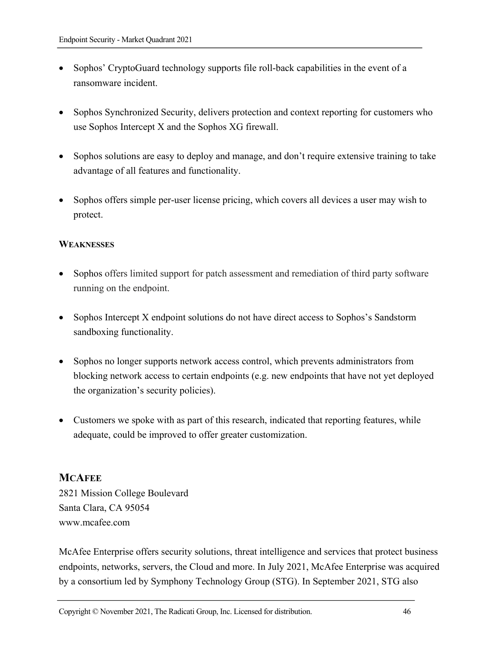- Sophos' CryptoGuard technology supports file roll-back capabilities in the event of a ransomware incident.
- Sophos Synchronized Security, delivers protection and context reporting for customers who use Sophos Intercept X and the Sophos XG firewall.
- Sophos solutions are easy to deploy and manage, and don't require extensive training to take advantage of all features and functionality.
- Sophos offers simple per-user license pricing, which covers all devices a user may wish to protect.

## **WEAKNESSES**

- Sophos offers limited support for patch assessment and remediation of third party software running on the endpoint.
- Sophos Intercept X endpoint solutions do not have direct access to Sophos's Sandstorm sandboxing functionality.
- Sophos no longer supports network access control, which prevents administrators from blocking network access to certain endpoints (e.g. new endpoints that have not yet deployed the organization's security policies).
- Customers we spoke with as part of this research, indicated that reporting features, while adequate, could be improved to offer greater customization.

## **MCAFEE**

2821 Mission College Boulevard Santa Clara, CA 95054 www.mcafee.com

McAfee Enterprise offers security solutions, threat intelligence and services that protect business endpoints, networks, servers, the Cloud and more. In July 2021, McAfee Enterprise was acquired by a consortium led by Symphony Technology Group (STG). In September 2021, STG also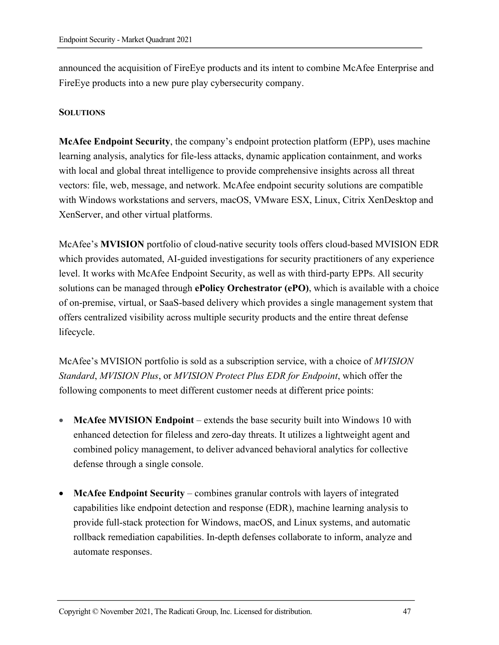announced the acquisition of FireEye products and its intent to combine McAfee Enterprise and FireEye products into a new pure play cybersecurity company.

#### **SOLUTIONS**

**McAfee Endpoint Security**, the company's endpoint protection platform (EPP), uses machine learning analysis, analytics for file-less attacks, dynamic application containment, and works with local and global threat intelligence to provide comprehensive insights across all threat vectors: file, web, message, and network. McAfee endpoint security solutions are compatible with Windows workstations and servers, macOS, VMware ESX, Linux, Citrix XenDesktop and XenServer, and other virtual platforms.

McAfee's **MVISION** portfolio of cloud-native security tools offers cloud-based MVISION EDR which provides automated, AI-guided investigations for security practitioners of any experience level. It works with McAfee Endpoint Security, as well as with third-party EPPs. All security solutions can be managed through **ePolicy Orchestrator (ePO)**, which is available with a choice of on-premise, virtual, or SaaS-based delivery which provides a single management system that offers centralized visibility across multiple security products and the entire threat defense lifecycle.

McAfee's MVISION portfolio is sold as a subscription service, with a choice of *MVISION Standard*, *MVISION Plus*, or *MVISION Protect Plus EDR for Endpoint*, which offer the following components to meet different customer needs at different price points:

- **McAfee MVISION Endpoint** extends the base security built into Windows 10 with enhanced detection for fileless and zero-day threats. It utilizes a lightweight agent and combined policy management, to deliver advanced behavioral analytics for collective defense through a single console.
- **McAfee Endpoint Security** combines granular controls with layers of integrated capabilities like endpoint detection and response (EDR), machine learning analysis to provide full-stack protection for Windows, macOS, and Linux systems, and automatic rollback remediation capabilities. In-depth defenses collaborate to inform, analyze and automate responses.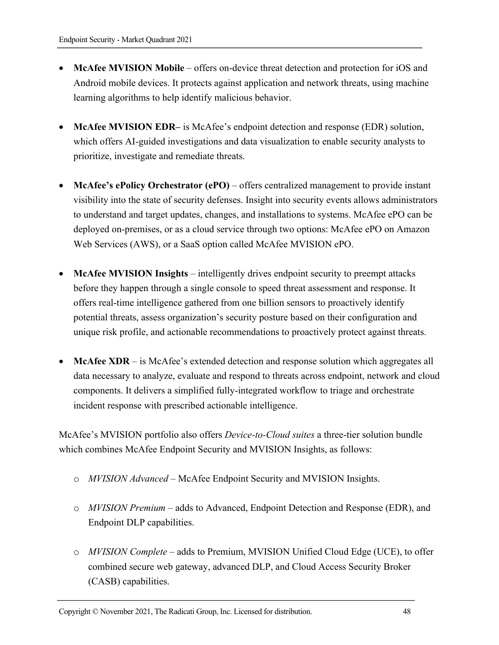- **McAfee MVISION Mobile** offers on-device threat detection and protection for iOS and Android mobile devices. It protects against application and network threats, using machine learning algorithms to help identify malicious behavior.
- **McAfee MVISION EDR–** is McAfee's endpoint detection and response (EDR) solution, which offers AI-guided investigations and data visualization to enable security analysts to prioritize, investigate and remediate threats.
- **McAfee's ePolicy Orchestrator (ePO)** offers centralized management to provide instant visibility into the state of security defenses. Insight into security events allows administrators to understand and target updates, changes, and installations to systems. McAfee ePO can be deployed on-premises, or as a cloud service through two options: McAfee ePO on Amazon Web Services (AWS), or a SaaS option called McAfee MVISION ePO.
- **McAfee MVISION Insights**  intelligently drives endpoint security to preempt attacks before they happen through a single console to speed threat assessment and response. It offers real-time intelligence gathered from one billion sensors to proactively identify potential threats, assess organization's security posture based on their configuration and unique risk profile, and actionable recommendations to proactively protect against threats.
- **McAfee XDR** is McAfee's extended detection and response solution which aggregates all data necessary to analyze, evaluate and respond to threats across endpoint, network and cloud components. It delivers a simplified fully-integrated workflow to triage and orchestrate incident response with prescribed actionable intelligence.

McAfee's MVISION portfolio also offers *Device-to-Cloud suites* a three-tier solution bundle which combines McAfee Endpoint Security and MVISION Insights, as follows:

- o *MVISION Advanced* McAfee Endpoint Security and MVISION Insights.
- o *MVISION Premium*  adds to Advanced, Endpoint Detection and Response (EDR), and Endpoint DLP capabilities.
- o *MVISION Complete* adds to Premium, MVISION Unified Cloud Edge (UCE), to offer combined secure web gateway, advanced DLP, and Cloud Access Security Broker (CASB) capabilities.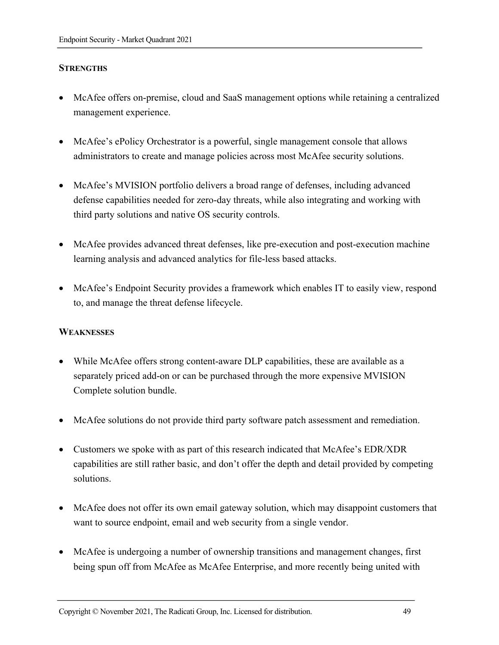## **STRENGTHS**

- McAfee offers on-premise, cloud and SaaS management options while retaining a centralized management experience.
- McAfee's ePolicy Orchestrator is a powerful, single management console that allows administrators to create and manage policies across most McAfee security solutions.
- McAfee's MVISION portfolio delivers a broad range of defenses, including advanced defense capabilities needed for zero-day threats, while also integrating and working with third party solutions and native OS security controls.
- McAfee provides advanced threat defenses, like pre-execution and post-execution machine learning analysis and advanced analytics for file-less based attacks.
- McAfee's Endpoint Security provides a framework which enables IT to easily view, respond to, and manage the threat defense lifecycle.

#### **WEAKNESSES**

- While McAfee offers strong content-aware DLP capabilities, these are available as a separately priced add-on or can be purchased through the more expensive MVISION Complete solution bundle.
- McAfee solutions do not provide third party software patch assessment and remediation.
- Customers we spoke with as part of this research indicated that McAfee's EDR/XDR capabilities are still rather basic, and don't offer the depth and detail provided by competing solutions.
- McAfee does not offer its own email gateway solution, which may disappoint customers that want to source endpoint, email and web security from a single vendor.
- McAfee is undergoing a number of ownership transitions and management changes, first being spun off from McAfee as McAfee Enterprise, and more recently being united with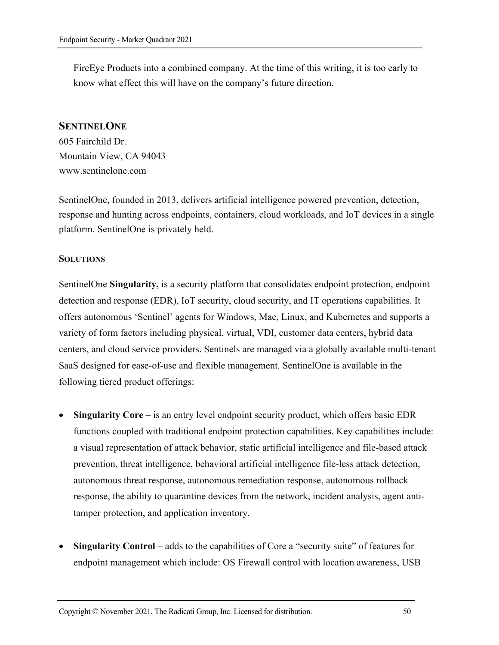FireEye Products into a combined company. At the time of this writing, it is too early to know what effect this will have on the company's future direction.

#### **SENTINELONE**

605 Fairchild Dr. Mountain View, CA 94043 www.sentinelone.com

SentinelOne, founded in 2013, delivers artificial intelligence powered prevention, detection, response and hunting across endpoints, containers, cloud workloads, and IoT devices in a single platform. SentinelOne is privately held.

#### **SOLUTIONS**

SentinelOne **Singularity,** is a security platform that consolidates endpoint protection, endpoint detection and response (EDR), IoT security, cloud security, and IT operations capabilities. It offers autonomous 'Sentinel' agents for Windows, Mac, Linux, and Kubernetes and supports a variety of form factors including physical, virtual, VDI, customer data centers, hybrid data centers, and cloud service providers. Sentinels are managed via a globally available multi-tenant SaaS designed for ease-of-use and flexible management. SentinelOne is available in the following tiered product offerings:

- **Singularity Core** is an entry level endpoint security product, which offers basic EDR functions coupled with traditional endpoint protection capabilities. Key capabilities include: a visual representation of attack behavior, static artificial intelligence and file-based attack prevention, threat intelligence, behavioral artificial intelligence file-less attack detection, autonomous threat response, autonomous remediation response, autonomous rollback response, the ability to quarantine devices from the network, incident analysis, agent antitamper protection, and application inventory.
- **Singularity Control** adds to the capabilities of Core a "security suite" of features for endpoint management which include: OS Firewall control with location awareness, USB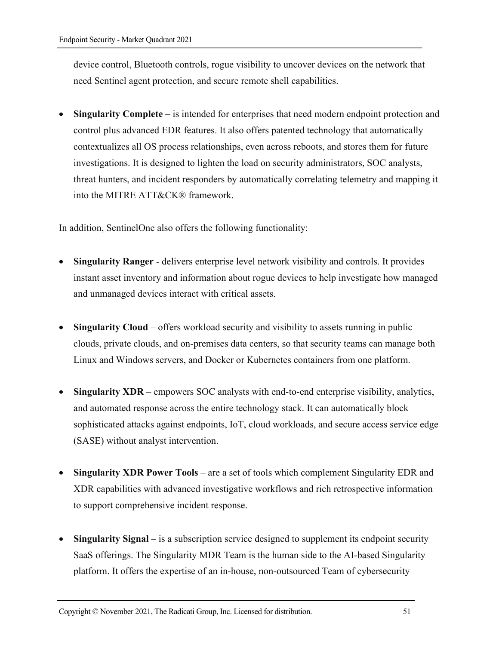device control, Bluetooth controls, rogue visibility to uncover devices on the network that need Sentinel agent protection, and secure remote shell capabilities.

• **Singularity Complete** – is intended for enterprises that need modern endpoint protection and control plus advanced EDR features. It also offers patented technology that automatically contextualizes all OS process relationships, even across reboots, and stores them for future investigations. It is designed to lighten the load on security administrators, SOC analysts, threat hunters, and incident responders by automatically correlating telemetry and mapping it into the MITRE ATT&CK® framework.

In addition, SentinelOne also offers the following functionality:

- **Singularity Ranger** delivers enterprise level network visibility and controls. It provides instant asset inventory and information about rogue devices to help investigate how managed and unmanaged devices interact with critical assets.
- **Singularity Cloud** offers workload security and visibility to assets running in public clouds, private clouds, and on-premises data centers, so that security teams can manage both Linux and Windows servers, and Docker or Kubernetes containers from one platform.
- **Singularity XDR**  empowers SOC analysts with end-to-end enterprise visibility, analytics, and automated response across the entire technology stack. It can automatically block sophisticated attacks against endpoints, IoT, cloud workloads, and secure access service edge (SASE) without analyst intervention.
- **Singularity XDR Power Tools**  are a set of tools which complement Singularity EDR and XDR capabilities with advanced investigative workflows and rich retrospective information to support comprehensive incident response.
- **Singularity Signal** is a subscription service designed to supplement its endpoint security SaaS offerings. The Singularity MDR Team is the human side to the AI-based Singularity platform. It offers the expertise of an in-house, non-outsourced Team of cybersecurity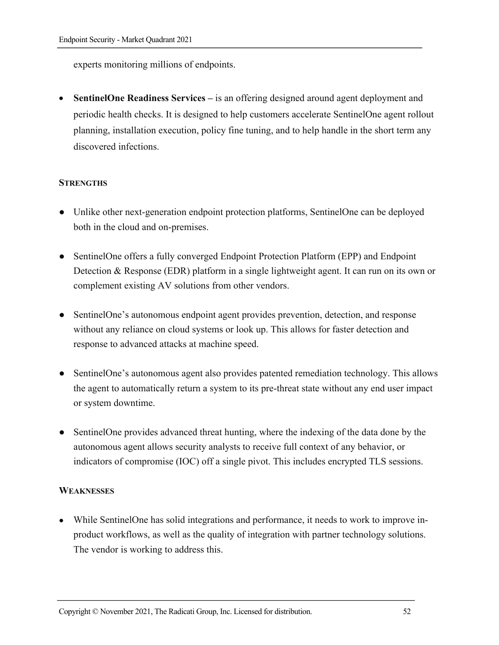experts monitoring millions of endpoints.

• **SentinelOne Readiness Services –** is an offering designed around agent deployment and periodic health checks. It is designed to help customers accelerate SentinelOne agent rollout planning, installation execution, policy fine tuning, and to help handle in the short term any discovered infections.

## **STRENGTHS**

- Unlike other next-generation endpoint protection platforms, SentinelOne can be deployed both in the cloud and on-premises.
- SentinelOne offers a fully converged Endpoint Protection Platform (EPP) and Endpoint Detection & Response (EDR) platform in a single lightweight agent. It can run on its own or complement existing AV solutions from other vendors.
- SentinelOne's autonomous endpoint agent provides prevention, detection, and response without any reliance on cloud systems or look up. This allows for faster detection and response to advanced attacks at machine speed.
- SentinelOne's autonomous agent also provides patented remediation technology. This allows the agent to automatically return a system to its pre-threat state without any end user impact or system downtime.
- Sentinel One provides advanced threat hunting, where the indexing of the data done by the autonomous agent allows security analysts to receive full context of any behavior, or indicators of compromise (IOC) off a single pivot. This includes encrypted TLS sessions.

#### **WEAKNESSES**

• While SentinelOne has solid integrations and performance, it needs to work to improve inproduct workflows, as well as the quality of integration with partner technology solutions. The vendor is working to address this.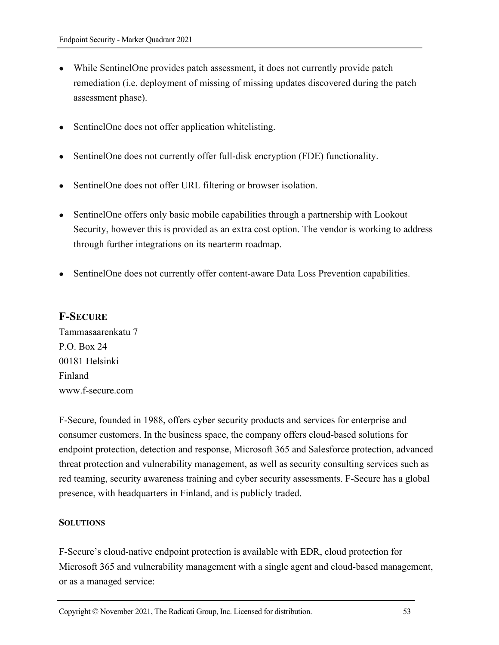- While SentinelOne provides patch assessment, it does not currently provide patch remediation (i.e. deployment of missing of missing updates discovered during the patch assessment phase).
- SentinelOne does not offer application whitelisting.
- SentinelOne does not currently offer full-disk encryption (FDE) functionality.
- SentinelOne does not offer URL filtering or browser isolation.
- SentinelOne offers only basic mobile capabilities through a partnership with Lookout Security, however this is provided as an extra cost option. The vendor is working to address through further integrations on its nearterm roadmap.
- SentinelOne does not currently offer content-aware Data Loss Prevention capabilities.

## **F-SECURE**

Tammasaarenkatu 7 P.O. Box 24 00181 Helsinki Finland www.f-secure.com

F-Secure, founded in 1988, offers cyber security products and services for enterprise and consumer customers. In the business space, the company offers cloud-based solutions for endpoint protection, detection and response, Microsoft 365 and Salesforce protection, advanced threat protection and vulnerability management, as well as security consulting services such as red teaming, security awareness training and cyber security assessments. F-Secure has a global presence, with headquarters in Finland, and is publicly traded.

#### **SOLUTIONS**

F-Secure's cloud-native endpoint protection is available with EDR, cloud protection for Microsoft 365 and vulnerability management with a single agent and cloud-based management, or as a managed service: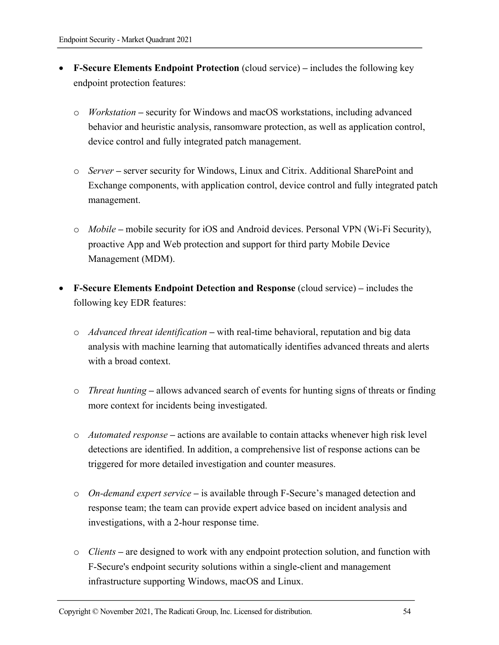- **F-Secure Elements Endpoint Protection** (cloud service) **–** includes the following key endpoint protection features:
	- o *Workstation* **–** security for Windows and macOS workstations, including advanced behavior and heuristic analysis, ransomware protection, as well as application control, device control and fully integrated patch management.
	- o *Server* **–** server security for Windows, Linux and Citrix. Additional SharePoint and Exchange components, with application control, device control and fully integrated patch management.
	- o *Mobile* **–** mobile security for iOS and Android devices. Personal VPN (Wi-Fi Security), proactive App and Web protection and support for third party Mobile Device Management (MDM).
- **F-Secure Elements Endpoint Detection and Response** (cloud service) **–** includes the following key EDR features:
	- o *Advanced threat identification* **–** with real-time behavioral, reputation and big data analysis with machine learning that automatically identifies advanced threats and alerts with a broad context.
	- o *Threat hunting* **–** allows advanced search of events for hunting signs of threats or finding more context for incidents being investigated.
	- o *Automated response* **–** actions are available to contain attacks whenever high risk level detections are identified. In addition, a comprehensive list of response actions can be triggered for more detailed investigation and counter measures.
	- o *On-demand expert service* **–** is available through F-Secure's managed detection and response team; the team can provide expert advice based on incident analysis and investigations, with a 2-hour response time.
	- o *Clients* **–** are designed to work with any endpoint protection solution, and function with F-Secure's endpoint security solutions within a single-client and management infrastructure supporting Windows, macOS and Linux.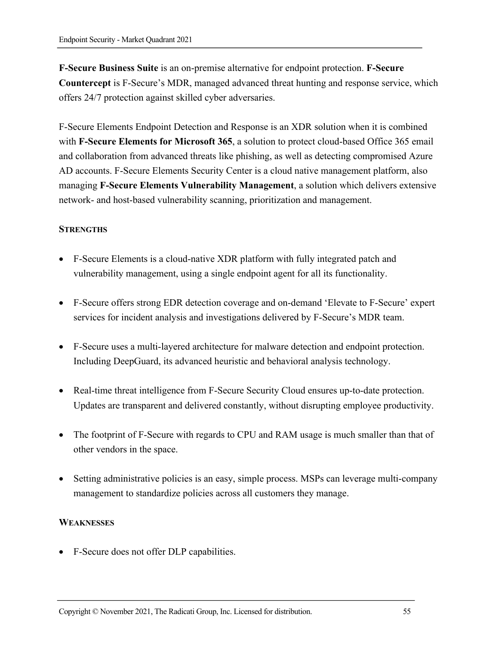**F-Secure Business Suite** is an on-premise alternative for endpoint protection. **F-Secure Countercept** is F-Secure's MDR, managed advanced threat hunting and response service, which offers 24/7 protection against skilled cyber adversaries.

F-Secure Elements Endpoint Detection and Response is an XDR solution when it is combined with **F-Secure Elements for Microsoft 365**, a solution to protect cloud-based Office 365 email and collaboration from advanced threats like phishing, as well as detecting compromised Azure AD accounts. F-Secure Elements Security Center is a cloud native management platform, also managing **F-Secure Elements Vulnerability Management**, a solution which delivers extensive network- and host-based vulnerability scanning, prioritization and management.

## **STRENGTHS**

- F-Secure Elements is a cloud-native XDR platform with fully integrated patch and vulnerability management, using a single endpoint agent for all its functionality.
- F-Secure offers strong EDR detection coverage and on-demand 'Elevate to F-Secure' expert services for incident analysis and investigations delivered by F-Secure's MDR team.
- F-Secure uses a multi-layered architecture for malware detection and endpoint protection. Including DeepGuard, its advanced heuristic and behavioral analysis technology.
- Real-time threat intelligence from F-Secure Security Cloud ensures up-to-date protection. Updates are transparent and delivered constantly, without disrupting employee productivity.
- The footprint of F-Secure with regards to CPU and RAM usage is much smaller than that of other vendors in the space.
- Setting administrative policies is an easy, simple process. MSPs can leverage multi-company management to standardize policies across all customers they manage.

#### **WEAKNESSES**

• F-Secure does not offer DLP capabilities.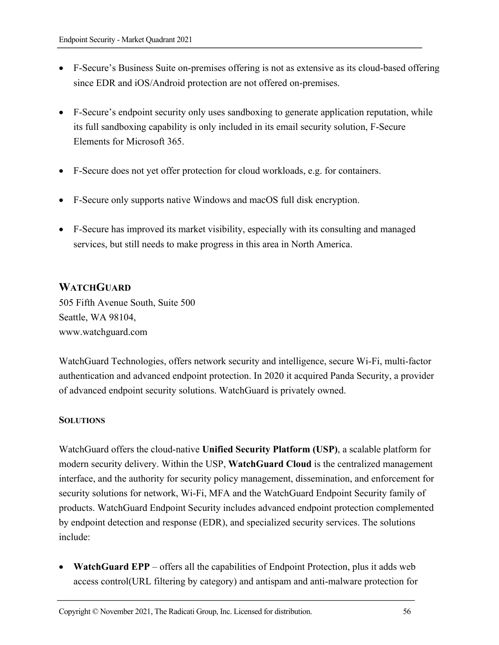- F-Secure's Business Suite on-premises offering is not as extensive as its cloud-based offering since EDR and iOS/Android protection are not offered on-premises.
- F-Secure's endpoint security only uses sandboxing to generate application reputation, while its full sandboxing capability is only included in its email security solution, F-Secure Elements for Microsoft 365.
- F-Secure does not yet offer protection for cloud workloads, e.g. for containers.
- F-Secure only supports native Windows and macOS full disk encryption.
- F-Secure has improved its market visibility, especially with its consulting and managed services, but still needs to make progress in this area in North America.

## **WATCHGUARD**

505 Fifth Avenue South, Suite 500 Seattle, WA 98104, www.watchguard.com

WatchGuard Technologies, offers network security and intelligence, secure Wi-Fi, multi-factor authentication and advanced endpoint protection. In 2020 it acquired Panda Security, a provider of advanced endpoint security solutions. WatchGuard is privately owned.

#### **SOLUTIONS**

WatchGuard offers the cloud-native **Unified Security Platform (USP)**, a scalable platform for modern security delivery. Within the USP, **WatchGuard Cloud** is the centralized management interface, and the authority for security policy management, dissemination, and enforcement for security solutions for network, Wi-Fi, MFA and the WatchGuard Endpoint Security family of products. WatchGuard Endpoint Security includes advanced endpoint protection complemented by endpoint detection and response (EDR), and specialized security services. The solutions include:

**WatchGuard EPP** – offers all the capabilities of Endpoint Protection, plus it adds web access control(URL filtering by category) and antispam and anti-malware protection for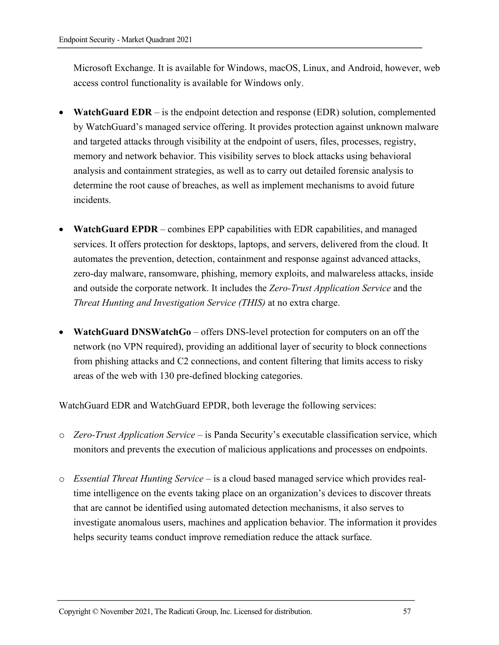Microsoft Exchange. It is available for Windows, macOS, Linux, and Android, however, web access control functionality is available for Windows only.

- **WatchGuard EDR**  is the endpoint detection and response (EDR) solution, complemented by WatchGuard's managed service offering. It provides protection against unknown malware and targeted attacks through visibility at the endpoint of users, files, processes, registry, memory and network behavior. This visibility serves to block attacks using behavioral analysis and containment strategies, as well as to carry out detailed forensic analysis to determine the root cause of breaches, as well as implement mechanisms to avoid future incidents.
- **WatchGuard EPDR** combines EPP capabilities with EDR capabilities, and managed services. It offers protection for desktops, laptops, and servers, delivered from the cloud. It automates the prevention, detection, containment and response against advanced attacks, zero-day malware, ransomware, phishing, memory exploits, and malwareless attacks, inside and outside the corporate network. It includes the *Zero-Trust Application Service* and the *Threat Hunting and Investigation Service (THIS)* at no extra charge.
- **WatchGuard DNSWatchGo** offers DNS-level protection for computers on an off the network (no VPN required), providing an additional layer of security to block connections from phishing attacks and C2 connections, and content filtering that limits access to risky areas of the web with 130 pre-defined blocking categories.

WatchGuard EDR and WatchGuard EPDR, both leverage the following services:

- o *Zero-Trust Application Service*  is Panda Security's executable classification service, which monitors and prevents the execution of malicious applications and processes on endpoints.
- o *Essential Threat Hunting Service* is a cloud based managed service which provides realtime intelligence on the events taking place on an organization's devices to discover threats that are cannot be identified using automated detection mechanisms, it also serves to investigate anomalous users, machines and application behavior. The information it provides helps security teams conduct improve remediation reduce the attack surface.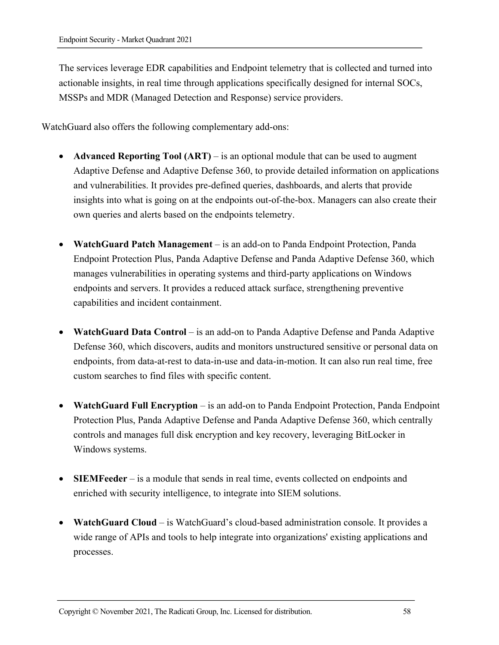The services leverage EDR capabilities and Endpoint telemetry that is collected and turned into actionable insights, in real time through applications specifically designed for internal SOCs, MSSPs and MDR (Managed Detection and Response) service providers.

WatchGuard also offers the following complementary add-ons:

- **Advanced Reporting Tool (ART)** is an optional module that can be used to augment Adaptive Defense and Adaptive Defense 360, to provide detailed information on applications and vulnerabilities. It provides pre-defined queries, dashboards, and alerts that provide insights into what is going on at the endpoints out-of-the-box. Managers can also create their own queries and alerts based on the endpoints telemetry.
- **WatchGuard Patch Management** is an add-on to Panda Endpoint Protection, Panda Endpoint Protection Plus, Panda Adaptive Defense and Panda Adaptive Defense 360, which manages vulnerabilities in operating systems and third-party applications on Windows endpoints and servers. It provides a reduced attack surface, strengthening preventive capabilities and incident containment.
- **WatchGuard Data Control** is an add-on to Panda Adaptive Defense and Panda Adaptive Defense 360, which discovers, audits and monitors unstructured sensitive or personal data on endpoints, from data-at-rest to data-in-use and data-in-motion. It can also run real time, free custom searches to find files with specific content.
- **WatchGuard Full Encryption** is an add-on to Panda Endpoint Protection, Panda Endpoint Protection Plus, Panda Adaptive Defense and Panda Adaptive Defense 360, which centrally controls and manages full disk encryption and key recovery, leveraging BitLocker in Windows systems.
- **SIEMFeeder** is a module that sends in real time, events collected on endpoints and enriched with security intelligence, to integrate into SIEM solutions.
- **WatchGuard Cloud**  is WatchGuard's cloud-based administration console. It provides a wide range of APIs and tools to help integrate into organizations' existing applications and processes.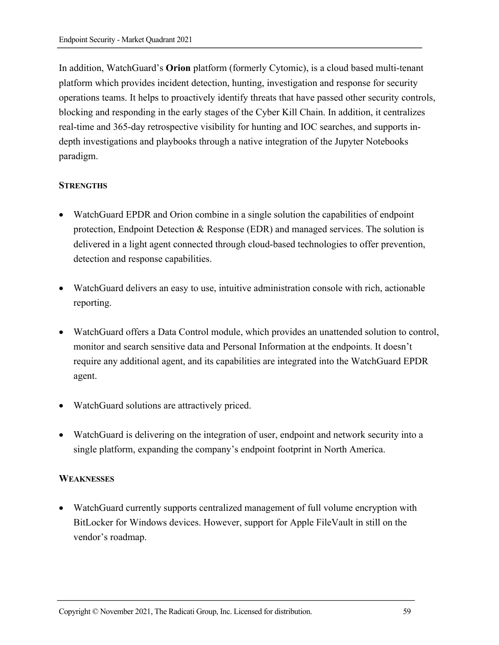In addition, WatchGuard's **Orion** platform (formerly Cytomic), is a cloud based multi-tenant platform which provides incident detection, hunting, investigation and response for security operations teams. It helps to proactively identify threats that have passed other security controls, blocking and responding in the early stages of the Cyber Kill Chain. In addition, it centralizes real-time and 365-day retrospective visibility for hunting and IOC searches, and supports indepth investigations and playbooks through a native integration of the Jupyter Notebooks paradigm.

#### **STRENGTHS**

- WatchGuard EPDR and Orion combine in a single solution the capabilities of endpoint protection, Endpoint Detection & Response (EDR) and managed services. The solution is delivered in a light agent connected through cloud-based technologies to offer prevention, detection and response capabilities.
- WatchGuard delivers an easy to use, intuitive administration console with rich, actionable reporting.
- WatchGuard offers a Data Control module, which provides an unattended solution to control, monitor and search sensitive data and Personal Information at the endpoints. It doesn't require any additional agent, and its capabilities are integrated into the WatchGuard EPDR agent.
- WatchGuard solutions are attractively priced.
- WatchGuard is delivering on the integration of user, endpoint and network security into a single platform, expanding the company's endpoint footprint in North America.

#### **WEAKNESSES**

• WatchGuard currently supports centralized management of full volume encryption with BitLocker for Windows devices. However, support for Apple FileVault in still on the vendor's roadmap.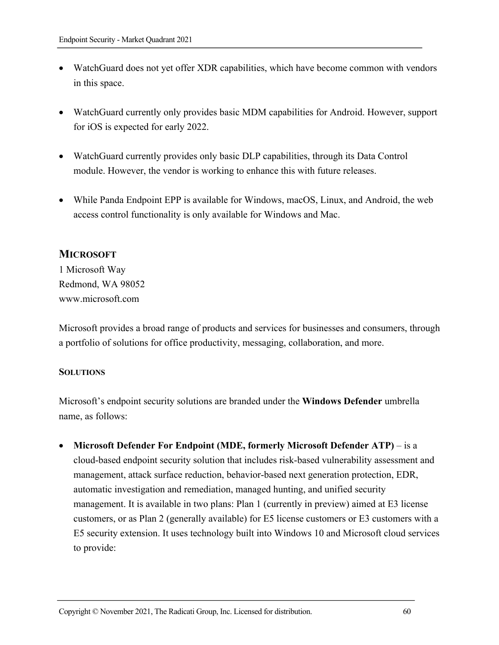- WatchGuard does not yet offer XDR capabilities, which have become common with vendors in this space.
- WatchGuard currently only provides basic MDM capabilities for Android. However, support for iOS is expected for early 2022.
- WatchGuard currently provides only basic DLP capabilities, through its Data Control module. However, the vendor is working to enhance this with future releases.
- While Panda Endpoint EPP is available for Windows, macOS, Linux, and Android, the web access control functionality is only available for Windows and Mac.

# **MICROSOFT**

1 Microsoft Way Redmond, WA 98052 www.microsoft.com

Microsoft provides a broad range of products and services for businesses and consumers, through a portfolio of solutions for office productivity, messaging, collaboration, and more.

## **SOLUTIONS**

Microsoft's endpoint security solutions are branded under the **Windows Defender** umbrella name, as follows:

• **Microsoft Defender For Endpoint (MDE, formerly Microsoft Defender ATP)** – is a cloud-based endpoint security solution that includes risk-based vulnerability assessment and management, attack surface reduction, behavior-based next generation protection, EDR, automatic investigation and remediation, managed hunting, and unified security management. It is available in two plans: Plan 1 (currently in preview) aimed at E3 license customers, or as Plan 2 (generally available) for E5 license customers or E3 customers with a E5 security extension. It uses technology built into Windows 10 and Microsoft cloud services to provide: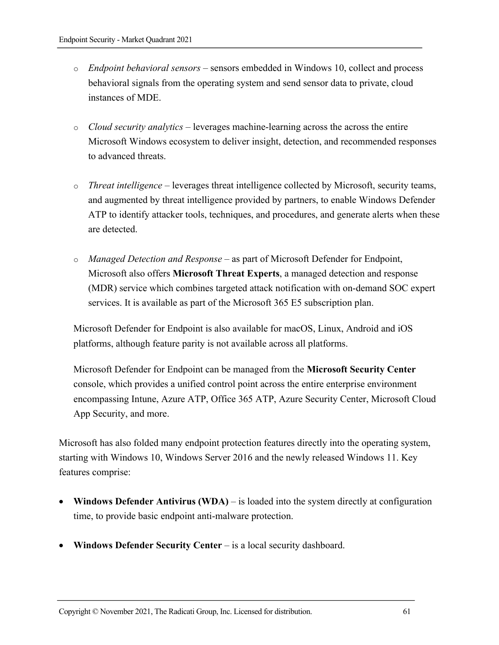- o *Endpoint behavioral sensors* sensors embedded in Windows 10, collect and process behavioral signals from the operating system and send sensor data to private, cloud instances of MDE.
- o *Cloud security analytics* leverages machine-learning across the across the entire Microsoft Windows ecosystem to deliver insight, detection, and recommended responses to advanced threats.
- o *Threat intelligence* leverages threat intelligence collected by Microsoft, security teams, and augmented by threat intelligence provided by partners, to enable Windows Defender ATP to identify attacker tools, techniques, and procedures, and generate alerts when these are detected.
- o *Managed Detection and Response*  as part of Microsoft Defender for Endpoint, Microsoft also offers **Microsoft Threat Experts**, a managed detection and response (MDR) service which combines targeted attack notification with on-demand SOC expert services. It is available as part of the Microsoft 365 E5 subscription plan.

Microsoft Defender for Endpoint is also available for macOS, Linux, Android and iOS platforms, although feature parity is not available across all platforms.

Microsoft Defender for Endpoint can be managed from the **Microsoft Security Center**  console, which provides a unified control point across the entire enterprise environment encompassing Intune, Azure ATP, Office 365 ATP, Azure Security Center, Microsoft Cloud App Security, and more.

Microsoft has also folded many endpoint protection features directly into the operating system, starting with Windows 10, Windows Server 2016 and the newly released Windows 11. Key features comprise:

- **Windows Defender Antivirus (WDA)** is loaded into the system directly at configuration time, to provide basic endpoint anti-malware protection.
- **Windows Defender Security Center** is a local security dashboard.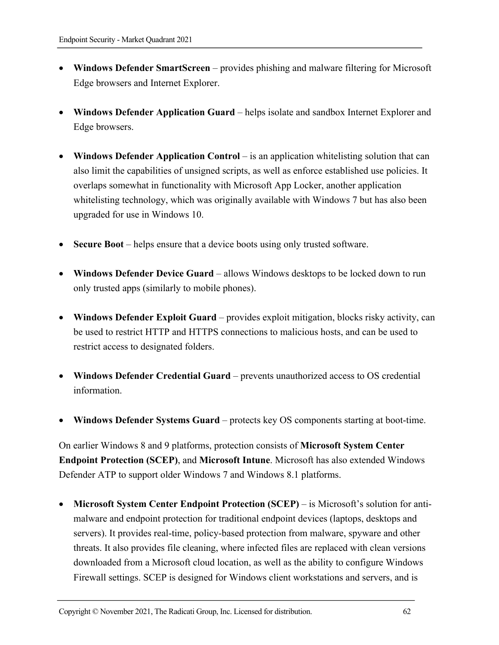- **Windows Defender SmartScreen** provides phishing and malware filtering for Microsoft Edge browsers and Internet Explorer.
- **Windows Defender Application Guard** helps isolate and sandbox Internet Explorer and Edge browsers.
- Windows Defender Application Control is an application whitelisting solution that can also limit the capabilities of unsigned scripts, as well as enforce established use policies. It overlaps somewhat in functionality with Microsoft App Locker, another application whitelisting technology, which was originally available with Windows 7 but has also been upgraded for use in Windows 10.
- **Secure Boot** helps ensure that a device boots using only trusted software.
- **Windows Defender Device Guard** allows Windows desktops to be locked down to run only trusted apps (similarly to mobile phones).
- Windows Defender Exploit Guard provides exploit mitigation, blocks risky activity, can be used to restrict HTTP and HTTPS connections to malicious hosts, and can be used to restrict access to designated folders.
- Windows Defender Credential Guard prevents unauthorized access to OS credential information.
- **Windows Defender Systems Guard** protects key OS components starting at boot-time.

On earlier Windows 8 and 9 platforms, protection consists of **Microsoft System Center Endpoint Protection (SCEP)**, and **Microsoft Intune**. Microsoft has also extended Windows Defender ATP to support older Windows 7 and Windows 8.1 platforms.

• **Microsoft System Center Endpoint Protection (SCEP)** – is Microsoft's solution for antimalware and endpoint protection for traditional endpoint devices (laptops, desktops and servers). It provides real-time, policy-based protection from malware, spyware and other threats. It also provides file cleaning, where infected files are replaced with clean versions downloaded from a Microsoft cloud location, as well as the ability to configure Windows Firewall settings. SCEP is designed for Windows client workstations and servers, and is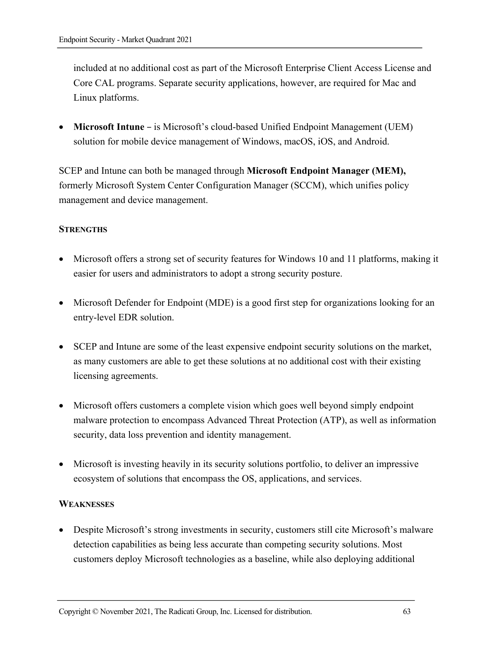included at no additional cost as part of the Microsoft Enterprise Client Access License and Core CAL programs. Separate security applications, however, are required for Mac and Linux platforms.

• **Microsoft Intune** – is Microsoft's cloud-based Unified Endpoint Management (UEM) solution for mobile device management of Windows, macOS, iOS, and Android.

SCEP and Intune can both be managed through **Microsoft Endpoint Manager (MEM),**  formerly Microsoft System Center Configuration Manager (SCCM), which unifies policy management and device management.

## **STRENGTHS**

- Microsoft offers a strong set of security features for Windows 10 and 11 platforms, making it easier for users and administrators to adopt a strong security posture.
- Microsoft Defender for Endpoint (MDE) is a good first step for organizations looking for an entry-level EDR solution.
- SCEP and Intune are some of the least expensive endpoint security solutions on the market, as many customers are able to get these solutions at no additional cost with their existing licensing agreements.
- Microsoft offers customers a complete vision which goes well beyond simply endpoint malware protection to encompass Advanced Threat Protection (ATP), as well as information security, data loss prevention and identity management.
- Microsoft is investing heavily in its security solutions portfolio, to deliver an impressive ecosystem of solutions that encompass the OS, applications, and services.

#### **WEAKNESSES**

• Despite Microsoft's strong investments in security, customers still cite Microsoft's malware detection capabilities as being less accurate than competing security solutions. Most customers deploy Microsoft technologies as a baseline, while also deploying additional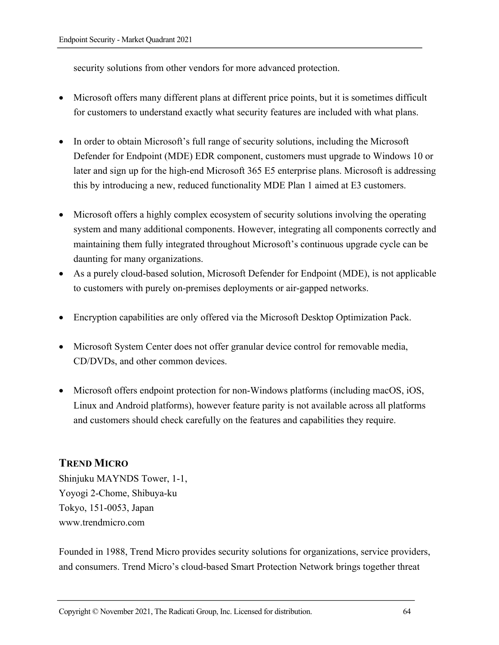security solutions from other vendors for more advanced protection.

- Microsoft offers many different plans at different price points, but it is sometimes difficult for customers to understand exactly what security features are included with what plans.
- In order to obtain Microsoft's full range of security solutions, including the Microsoft Defender for Endpoint (MDE) EDR component, customers must upgrade to Windows 10 or later and sign up for the high-end Microsoft 365 E5 enterprise plans. Microsoft is addressing this by introducing a new, reduced functionality MDE Plan 1 aimed at E3 customers.
- Microsoft offers a highly complex ecosystem of security solutions involving the operating system and many additional components. However, integrating all components correctly and maintaining them fully integrated throughout Microsoft's continuous upgrade cycle can be daunting for many organizations.
- As a purely cloud-based solution, Microsoft Defender for Endpoint (MDE), is not applicable to customers with purely on-premises deployments or air-gapped networks.
- Encryption capabilities are only offered via the Microsoft Desktop Optimization Pack.
- Microsoft System Center does not offer granular device control for removable media, CD/DVDs, and other common devices.
- Microsoft offers endpoint protection for non-Windows platforms (including macOS, iOS, Linux and Android platforms), however feature parity is not available across all platforms and customers should check carefully on the features and capabilities they require.

# **TREND MICRO**

Shinjuku MAYNDS Tower, 1-1, Yoyogi 2-Chome, Shibuya-ku Tokyo, 151-0053, Japan www.trendmicro.com

Founded in 1988, Trend Micro provides security solutions for organizations, service providers, and consumers. Trend Micro's cloud-based Smart Protection Network brings together threat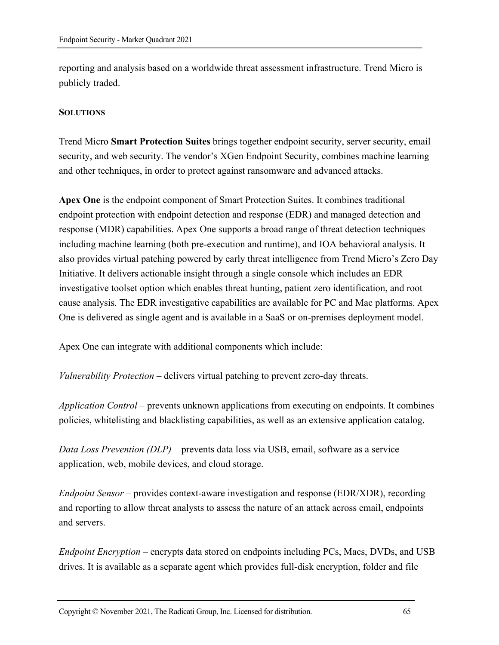reporting and analysis based on a worldwide threat assessment infrastructure. Trend Micro is publicly traded.

#### **SOLUTIONS**

Trend Micro **Smart Protection Suites** brings together endpoint security, server security, email security, and web security. The vendor's XGen Endpoint Security, combines machine learning and other techniques, in order to protect against ransomware and advanced attacks.

**Apex One** is the endpoint component of Smart Protection Suites. It combines traditional endpoint protection with endpoint detection and response (EDR) and managed detection and response (MDR) capabilities. Apex One supports a broad range of threat detection techniques including machine learning (both pre-execution and runtime), and IOA behavioral analysis. It also provides virtual patching powered by early threat intelligence from Trend Micro's Zero Day Initiative. It delivers actionable insight through a single console which includes an EDR investigative toolset option which enables threat hunting, patient zero identification, and root cause analysis. The EDR investigative capabilities are available for PC and Mac platforms. Apex One is delivered as single agent and is available in a SaaS or on-premises deployment model.

Apex One can integrate with additional components which include:

*Vulnerability Protection* – delivers virtual patching to prevent zero-day threats.

*Application Control* – prevents unknown applications from executing on endpoints. It combines policies, whitelisting and blacklisting capabilities, as well as an extensive application catalog.

*Data Loss Prevention (DLP)* – prevents data loss via USB, email, software as a service application, web, mobile devices, and cloud storage.

*Endpoint Sensor* – provides context-aware investigation and response (EDR/XDR), recording and reporting to allow threat analysts to assess the nature of an attack across email, endpoints and servers.

*Endpoint Encryption* – encrypts data stored on endpoints including PCs, Macs, DVDs, and USB drives. It is available as a separate agent which provides full-disk encryption, folder and file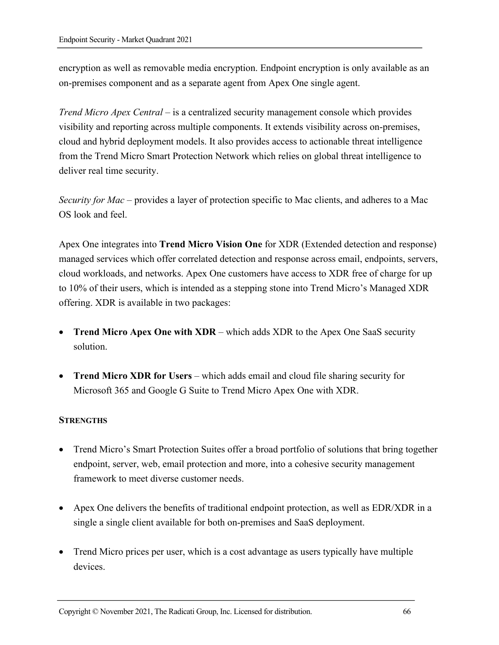encryption as well as removable media encryption. Endpoint encryption is only available as an on-premises component and as a separate agent from Apex One single agent.

*Trend Micro Apex Central* – is a centralized security management console which provides visibility and reporting across multiple components. It extends visibility across on-premises, cloud and hybrid deployment models. It also provides access to actionable threat intelligence from the Trend Micro Smart Protection Network which relies on global threat intelligence to deliver real time security.

*Security for Mac* – provides a layer of protection specific to Mac clients, and adheres to a Mac OS look and feel.

Apex One integrates into **Trend Micro Vision One** for XDR (Extended detection and response) managed services which offer correlated detection and response across email, endpoints, servers, cloud workloads, and networks. Apex One customers have access to XDR free of charge for up to 10% of their users, which is intended as a stepping stone into Trend Micro's Managed XDR offering. XDR is available in two packages:

- **Trend Micro Apex One with XDR** which adds XDR to the Apex One SaaS security solution.
- **Trend Micro XDR for Users** which adds email and cloud file sharing security for Microsoft 365 and Google G Suite to Trend Micro Apex One with XDR.

#### **STRENGTHS**

- Trend Micro's Smart Protection Suites offer a broad portfolio of solutions that bring together endpoint, server, web, email protection and more, into a cohesive security management framework to meet diverse customer needs.
- Apex One delivers the benefits of traditional endpoint protection, as well as EDR/XDR in a single a single client available for both on-premises and SaaS deployment.
- Trend Micro prices per user, which is a cost advantage as users typically have multiple devices.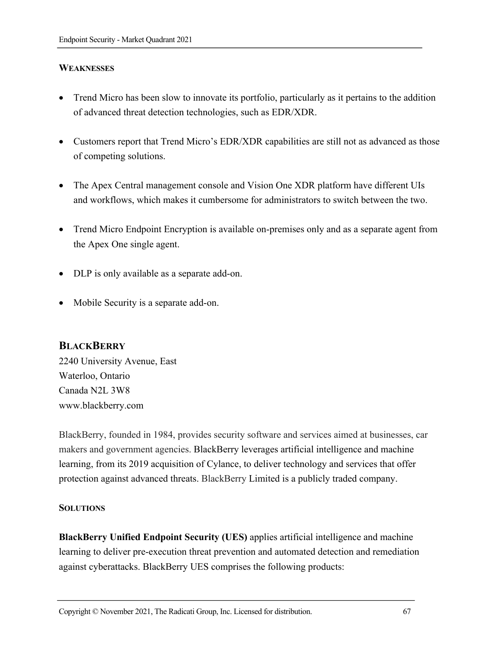## **WEAKNESSES**

- Trend Micro has been slow to innovate its portfolio, particularly as it pertains to the addition of advanced threat detection technologies, such as EDR/XDR.
- Customers report that Trend Micro's EDR/XDR capabilities are still not as advanced as those of competing solutions.
- The Apex Central management console and Vision One XDR platform have different UIs and workflows, which makes it cumbersome for administrators to switch between the two.
- Trend Micro Endpoint Encryption is available on-premises only and as a separate agent from the Apex One single agent.
- DLP is only available as a separate add-on.
- Mobile Security is a separate add-on.

## **BLACKBERRY**

2240 University Avenue, East Waterloo, Ontario Canada N2L 3W8 www.blackberry.com

BlackBerry, founded in 1984, provides security software and services aimed at businesses, car makers and government agencies. BlackBerry leverages artificial intelligence and machine learning, from its 2019 acquisition of Cylance, to deliver technology and services that offer protection against advanced threats. BlackBerry Limited is a publicly traded company.

#### **SOLUTIONS**

**BlackBerry Unified Endpoint Security (UES)** applies artificial intelligence and machine learning to deliver pre-execution threat prevention and automated detection and remediation against cyberattacks. BlackBerry UES comprises the following products: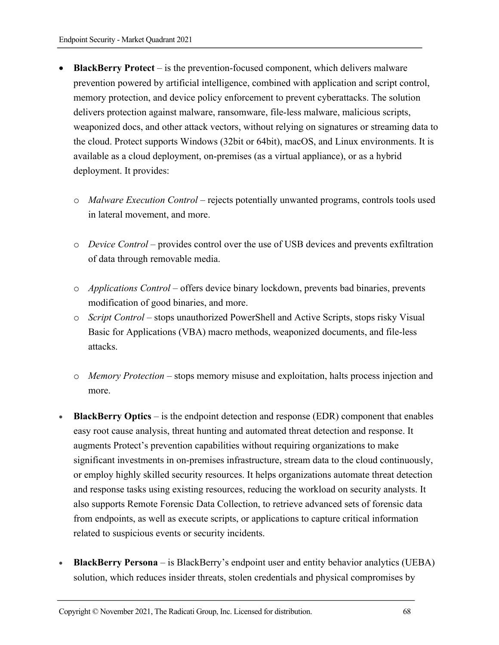- **BlackBerry Protect** is the prevention-focused component, which delivers malware prevention powered by artificial intelligence, combined with application and script control, memory protection, and device policy enforcement to prevent cyberattacks. The solution delivers protection against malware, ransomware, file-less malware, malicious scripts, weaponized docs, and other attack vectors, without relying on signatures or streaming data to the cloud. Protect supports Windows (32bit or 64bit), macOS, and Linux environments. It is available as a cloud deployment, on-premises (as a virtual appliance), or as a hybrid deployment. It provides:
	- o *Malware Execution Control* rejects potentially unwanted programs, controls tools used in lateral movement, and more.
	- o *Device Control* provides control over the use of USB devices and prevents exfiltration of data through removable media.
	- o *Applications Control* offers device binary lockdown, prevents bad binaries, prevents modification of good binaries, and more.
	- o *Script Control* stops unauthorized PowerShell and Active Scripts, stops risky Visual Basic for Applications (VBA) macro methods, weaponized documents, and file-less attacks.
	- o *Memory Protection* stops memory misuse and exploitation, halts process injection and more.
- **BlackBerry Optics** is the endpoint detection and response (EDR) component that enables easy root cause analysis, threat hunting and automated threat detection and response. It augments Protect's prevention capabilities without requiring organizations to make significant investments in on-premises infrastructure, stream data to the cloud continuously, or employ highly skilled security resources. It helps organizations automate threat detection and response tasks using existing resources, reducing the workload on security analysts. It also supports Remote Forensic Data Collection, to retrieve advanced sets of forensic data from endpoints, as well as execute scripts, or applications to capture critical information related to suspicious events or security incidents.
- **BlackBerry Persona**  is BlackBerry's endpoint user and entity behavior analytics (UEBA) solution, which reduces insider threats, stolen credentials and physical compromises by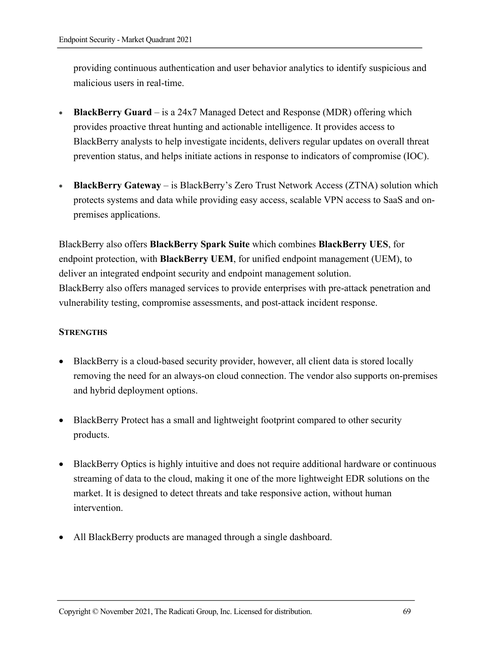providing continuous authentication and user behavior analytics to identify suspicious and malicious users in real-time.

- **BlackBerry Guard** is a 24x7 Managed Detect and Response (MDR) offering which provides proactive threat hunting and actionable intelligence. It provides access to BlackBerry analysts to help investigate incidents, delivers regular updates on overall threat prevention status, and helps initiate actions in response to indicators of compromise (IOC).
- **BlackBerry Gateway**  is BlackBerry's Zero Trust Network Access (ZTNA) solution which protects systems and data while providing easy access, scalable VPN access to SaaS and onpremises applications.

BlackBerry also offers **BlackBerry Spark Suite** which combines **BlackBerry UES**, for endpoint protection, with **BlackBerry UEM**, for unified endpoint management (UEM), to deliver an integrated endpoint security and endpoint management solution. BlackBerry also offers managed services to provide enterprises with pre-attack penetration and vulnerability testing, compromise assessments, and post-attack incident response.

#### **STRENGTHS**

- BlackBerry is a cloud-based security provider, however, all client data is stored locally removing the need for an always-on cloud connection. The vendor also supports on-premises and hybrid deployment options.
- BlackBerry Protect has a small and lightweight footprint compared to other security products.
- BlackBerry Optics is highly intuitive and does not require additional hardware or continuous streaming of data to the cloud, making it one of the more lightweight EDR solutions on the market. It is designed to detect threats and take responsive action, without human intervention.
- All BlackBerry products are managed through a single dashboard.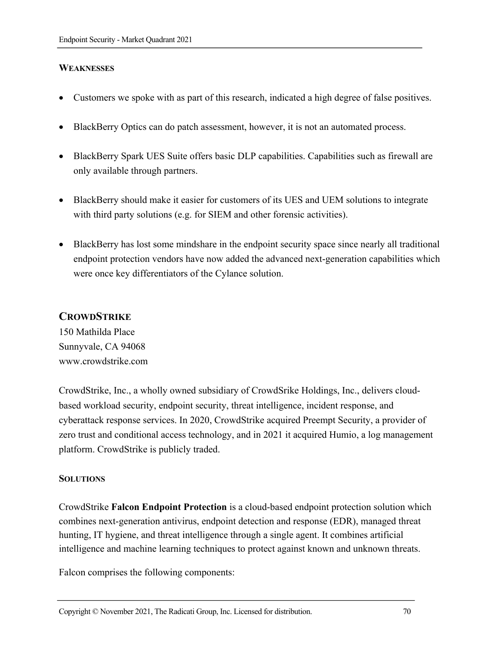## **WEAKNESSES**

- Customers we spoke with as part of this research, indicated a high degree of false positives.
- BlackBerry Optics can do patch assessment, however, it is not an automated process.
- BlackBerry Spark UES Suite offers basic DLP capabilities. Capabilities such as firewall are only available through partners.
- BlackBerry should make it easier for customers of its UES and UEM solutions to integrate with third party solutions (e.g. for SIEM and other forensic activities).
- BlackBerry has lost some mindshare in the endpoint security space since nearly all traditional endpoint protection vendors have now added the advanced next-generation capabilities which were once key differentiators of the Cylance solution.

## **CROWDSTRIKE**

150 Mathilda Place Sunnyvale, CA 94068 www.crowdstrike.com

CrowdStrike, Inc., a wholly owned subsidiary of CrowdSrike Holdings, Inc., delivers cloudbased workload security, endpoint security, threat intelligence, incident response, and cyberattack response services. In 2020, CrowdStrike acquired Preempt Security, a provider of zero trust and conditional access technology, and in 2021 it acquired Humio, a log management platform. CrowdStrike is publicly traded.

## **SOLUTIONS**

CrowdStrike **Falcon Endpoint Protection** is a cloud-based endpoint protection solution which combines next-generation antivirus, endpoint detection and response (EDR), managed threat hunting, IT hygiene, and threat intelligence through a single agent. It combines artificial intelligence and machine learning techniques to protect against known and unknown threats.

Falcon comprises the following components: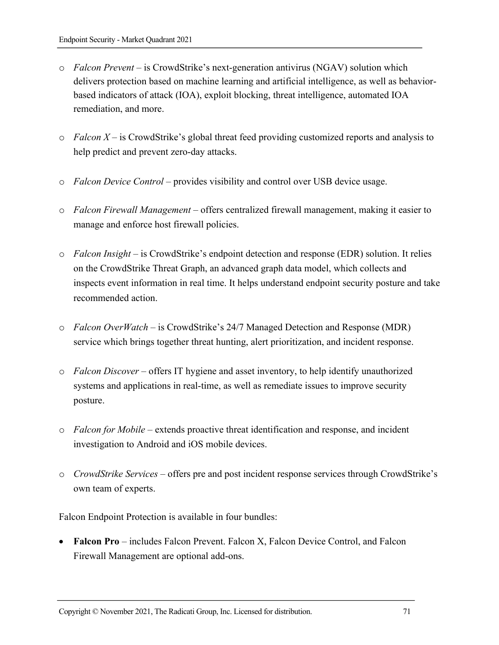- o *Falcon Prevent* is CrowdStrike's next-generation antivirus (NGAV) solution which delivers protection based on machine learning and artificial intelligence, as well as behaviorbased indicators of attack (IOA), exploit blocking, threat intelligence, automated IOA remediation, and more.
- o *Falcon X* is CrowdStrike's global threat feed providing customized reports and analysis to help predict and prevent zero-day attacks.
- o *Falcon Device Control* provides visibility and control over USB device usage.
- o *Falcon Firewall Management* offers centralized firewall management, making it easier to manage and enforce host firewall policies.
- o *Falcon Insight* is CrowdStrike's endpoint detection and response (EDR) solution. It relies on the CrowdStrike Threat Graph, an advanced graph data model, which collects and inspects event information in real time. It helps understand endpoint security posture and take recommended action.
- o *Falcon OverWatch* is CrowdStrike's 24/7 Managed Detection and Response (MDR) service which brings together threat hunting, alert prioritization, and incident response.
- o *Falcon Discover* offers IT hygiene and asset inventory, to help identify unauthorized systems and applications in real-time, as well as remediate issues to improve security posture.
- o *Falcon for Mobile* extends proactive threat identification and response, and incident investigation to Android and iOS mobile devices.
- o *CrowdStrike Services* offers pre and post incident response services through CrowdStrike's own team of experts.

Falcon Endpoint Protection is available in four bundles:

• **Falcon Pro** – includes Falcon Prevent. Falcon X, Falcon Device Control, and Falcon Firewall Management are optional add-ons.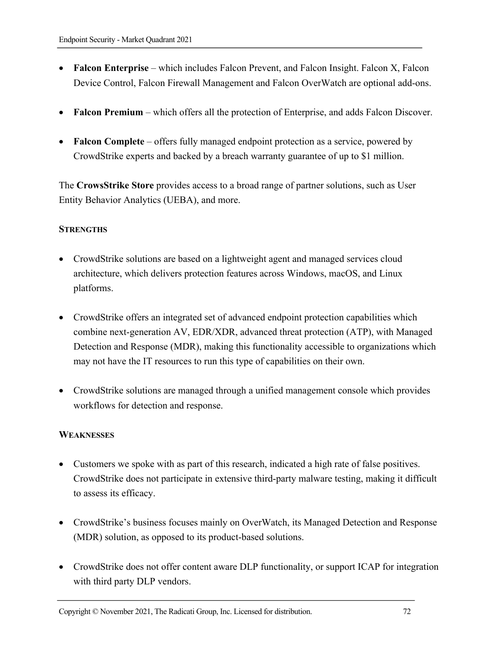- **Falcon Enterprise** which includes Falcon Prevent, and Falcon Insight. Falcon X, Falcon Device Control, Falcon Firewall Management and Falcon OverWatch are optional add-ons.
- **Falcon Premium**  which offers all the protection of Enterprise, and adds Falcon Discover.
- **Falcon Complete** offers fully managed endpoint protection as a service, powered by CrowdStrike experts and backed by a breach warranty guarantee of up to \$1 million.

The **CrowsStrike Store** provides access to a broad range of partner solutions, such as User Entity Behavior Analytics (UEBA), and more.

## **STRENGTHS**

- CrowdStrike solutions are based on a lightweight agent and managed services cloud architecture, which delivers protection features across Windows, macOS, and Linux platforms.
- CrowdStrike offers an integrated set of advanced endpoint protection capabilities which combine next-generation AV, EDR/XDR, advanced threat protection (ATP), with Managed Detection and Response (MDR), making this functionality accessible to organizations which may not have the IT resources to run this type of capabilities on their own.
- CrowdStrike solutions are managed through a unified management console which provides workflows for detection and response.

## **WEAKNESSES**

- Customers we spoke with as part of this research, indicated a high rate of false positives. CrowdStrike does not participate in extensive third-party malware testing, making it difficult to assess its efficacy.
- CrowdStrike's business focuses mainly on OverWatch, its Managed Detection and Response (MDR) solution, as opposed to its product-based solutions.
- CrowdStrike does not offer content aware DLP functionality, or support ICAP for integration with third party DLP vendors.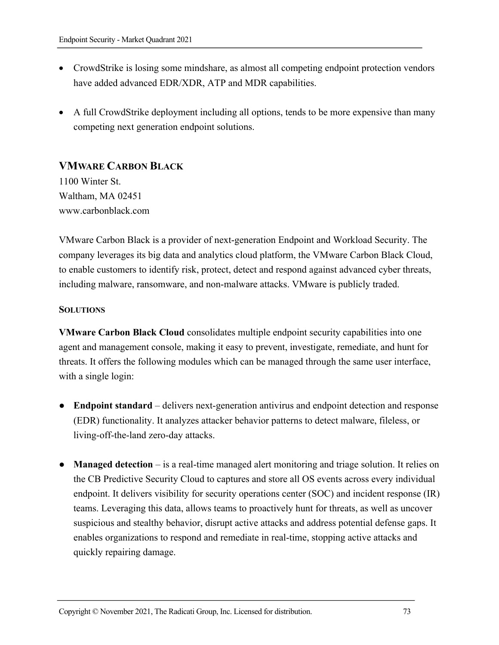- CrowdStrike is losing some mindshare, as almost all competing endpoint protection vendors have added advanced EDR/XDR, ATP and MDR capabilities.
- A full CrowdStrike deployment including all options, tends to be more expensive than many competing next generation endpoint solutions.

## **VMWARE CARBON BLACK**

1100 Winter St. Waltham, MA 02451 www.carbonblack.com

VMware Carbon Black is a provider of next-generation Endpoint and Workload Security. The company leverages its big data and analytics cloud platform, the VMware Carbon Black Cloud, to enable customers to identify risk, protect, detect and respond against advanced cyber threats, including malware, ransomware, and non-malware attacks. VMware is publicly traded.

#### **SOLUTIONS**

**VMware Carbon Black Cloud** consolidates multiple endpoint security capabilities into one agent and management console, making it easy to prevent, investigate, remediate, and hunt for threats. It offers the following modules which can be managed through the same user interface, with a single login:

- **Endpoint standard**  delivers next-generation antivirus and endpoint detection and response (EDR) functionality. It analyzes attacker behavior patterns to detect malware, fileless, or living-off-the-land zero-day attacks.
- **Managed detection** is a real-time managed alert monitoring and triage solution. It relies on the CB Predictive Security Cloud to captures and store all OS events across every individual endpoint. It delivers visibility for security operations center (SOC) and incident response (IR) teams. Leveraging this data, allows teams to proactively hunt for threats, as well as uncover suspicious and stealthy behavior, disrupt active attacks and address potential defense gaps. It enables organizations to respond and remediate in real-time, stopping active attacks and quickly repairing damage.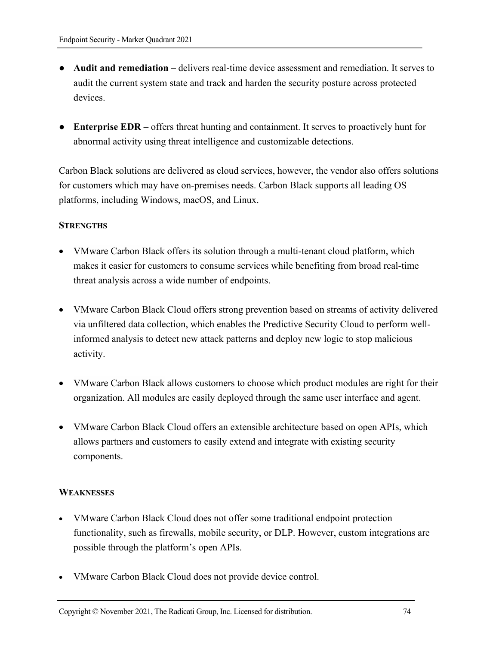- **Audit and remediation**  delivers real-time device assessment and remediation. It serves to audit the current system state and track and harden the security posture across protected devices.
- **Enterprise EDR** offers threat hunting and containment. It serves to proactively hunt for abnormal activity using threat intelligence and customizable detections.

Carbon Black solutions are delivered as cloud services, however, the vendor also offers solutions for customers which may have on-premises needs. Carbon Black supports all leading OS platforms, including Windows, macOS, and Linux.

#### **STRENGTHS**

- VMware Carbon Black offers its solution through a multi-tenant cloud platform, which makes it easier for customers to consume services while benefiting from broad real-time threat analysis across a wide number of endpoints.
- VMware Carbon Black Cloud offers strong prevention based on streams of activity delivered via unfiltered data collection, which enables the Predictive Security Cloud to perform wellinformed analysis to detect new attack patterns and deploy new logic to stop malicious activity.
- VMware Carbon Black allows customers to choose which product modules are right for their organization. All modules are easily deployed through the same user interface and agent.
- VMware Carbon Black Cloud offers an extensible architecture based on open APIs, which allows partners and customers to easily extend and integrate with existing security components.

### **WEAKNESSES**

- VMware Carbon Black Cloud does not offer some traditional endpoint protection functionality, such as firewalls, mobile security, or DLP. However, custom integrations are possible through the platform's open APIs.
- VMware Carbon Black Cloud does not provide device control.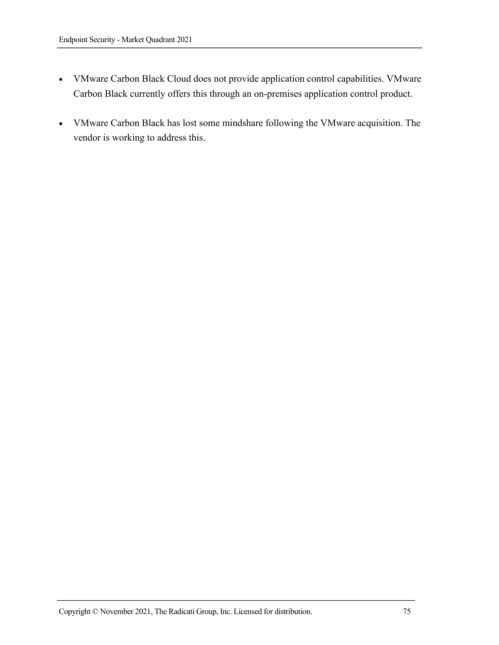- VMware Carbon Black Cloud does not provide application control capabilities. VMware Carbon Black currently offers this through an on-premises application control product.
- VMware Carbon Black has lost some mindshare following the VMware acquisition. The vendor is working to address this.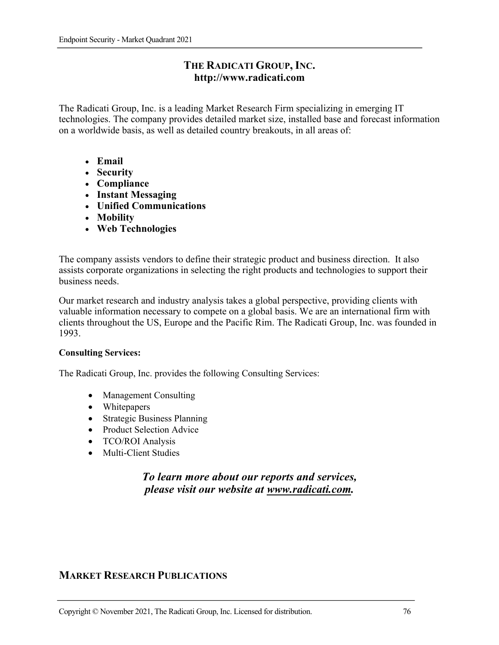### **THE RADICATI GROUP, INC. http://www.radicati.com**

The Radicati Group, Inc. is a leading Market Research Firm specializing in emerging IT technologies. The company provides detailed market size, installed base and forecast information on a worldwide basis, as well as detailed country breakouts, in all areas of:

- **Email**
- **Security**
- **Compliance**
- **Instant Messaging**
- **Unified Communications**
- **Mobility**
- **Web Technologies**

The company assists vendors to define their strategic product and business direction. It also assists corporate organizations in selecting the right products and technologies to support their business needs.

Our market research and industry analysis takes a global perspective, providing clients with valuable information necessary to compete on a global basis. We are an international firm with clients throughout the US, Europe and the Pacific Rim. The Radicati Group, Inc. was founded in 1993.

#### **Consulting Services:**

The Radicati Group, Inc. provides the following Consulting Services:

- Management Consulting
- Whitepapers
- Strategic Business Planning
- Product Selection Advice
- TCO/ROI Analysis
- Multi-Client Studies

# *To learn more about our reports and services, please visit our website at www.radicati.com.*

### **MARKET RESEARCH PUBLICATIONS**